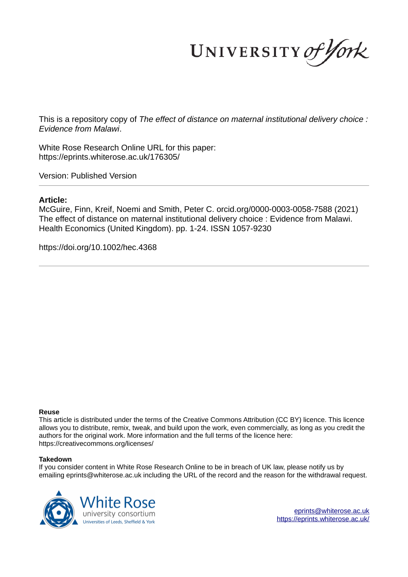UNIVERSITY of York

This is a repository copy of *The effect of distance on maternal institutional delivery choice : Evidence from Malawi*.

White Rose Research Online URL for this paper: https://eprints.whiterose.ac.uk/176305/

Version: Published Version

# **Article:**

McGuire, Finn, Kreif, Noemi and Smith, Peter C. orcid.org/0000-0003-0058-7588 (2021) The effect of distance on maternal institutional delivery choice : Evidence from Malawi. Health Economics (United Kingdom). pp. 1-24. ISSN 1057-9230

https://doi.org/10.1002/hec.4368

#### **Reuse**

This article is distributed under the terms of the Creative Commons Attribution (CC BY) licence. This licence allows you to distribute, remix, tweak, and build upon the work, even commercially, as long as you credit the authors for the original work. More information and the full terms of the licence here: https://creativecommons.org/licenses/

#### **Takedown**

If you consider content in White Rose Research Online to be in breach of UK law, please notify us by emailing eprints@whiterose.ac.uk including the URL of the record and the reason for the withdrawal request.

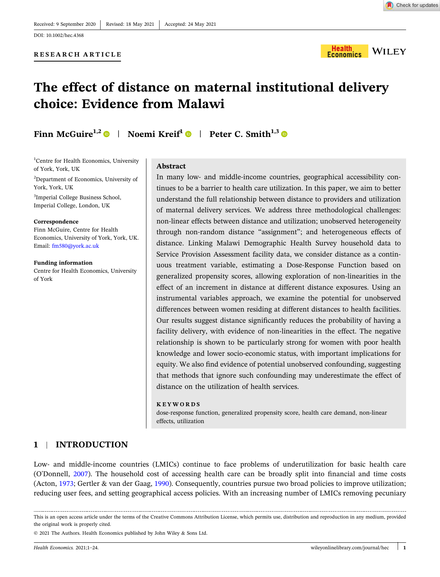Check for updates

#### **RESEARCH ARTICLE**



# **The effect of distance on maternal institutional delivery choice: Evidence from Malawi**

**Finn McGuire1,2** | **Noemi Kreif<sup>1</sup>** | **Peter C. Smith1,3**

<sup>1</sup>Centre for Health Economics, University of York, York, UK

<sup>2</sup>Department of Economics, University of York, York, UK

<sup>3</sup>Imperial College Business School, Imperial College, London, UK

#### **Correspondence**

Finn McGuire, Centre for Health Economics, University of York, York, UK. Email: fm580@york.ac.uk

#### **Funding information**

Centre for Health Economics, University of York

#### **Abstract**

In many low‐ and middle‐income countries, geographical accessibility continues to be a barrier to health care utilization. In this paper, we aim to better understand the full relationship between distance to providers and utilization of maternal delivery services. We address three methodological challenges: non‐linear effects between distance and utilization; unobserved heterogeneity through non‐random distance "assignment"; and heterogeneous effects of distance. Linking Malawi Demographic Health Survey household data to Service Provision Assessment facility data, we consider distance as a continuous treatment variable, estimating a Dose‐Response Function based on generalized propensity scores, allowing exploration of non‐linearities in the effect of an increment in distance at different distance exposures. Using an instrumental variables approach, we examine the potential for unobserved differences between women residing at different distances to health facilities. Our results suggest distance significantly reduces the probability of having a facility delivery, with evidence of non-linearities in the effect. The negative relationship is shown to be particularly strong for women with poor health knowledge and lower socio‐economic status, with important implications for equity. We also find evidence of potential unobserved confounding, suggesting that methods that ignore such confounding may underestimate the effect of distance on the utilization of health services.

#### **KEYWORDS**

dose‐response function, generalized propensity score, health care demand, non‐linear effects, utilization

## **1** <sup>|</sup> **INTRODUCTION**

Low‐ and middle‐income countries (LMICs) continue to face problems of underutilization for basic health care (O'Donnell, 2007). The household cost of accessing health care can be broadly split into financial and time costs (Acton, 1973; Gertler & van der Gaag, 1990). Consequently, countries pursue two broad policies to improve utilization; reducing user fees, and setting geographical access policies. With an increasing number of LMICs removing pecuniary

This is an open access article under the terms of the Creative Commons Attribution License, which permits use, distribution and reproduction in any medium, provided the original work is properly cited.

<sup>© 2021</sup> The Authors. Health Economics published by John Wiley & Sons Ltd.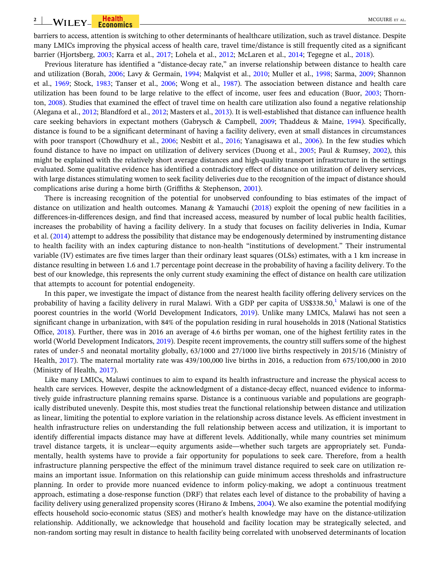barriers to access, attention is switching to other determinants of healthcare utilization, such as travel distance. Despite many LMICs improving the physical access of health care, travel time/distance is still frequently cited as a significant barrier (Hjortsberg, 2003; Karra et al., 2017; Lohela et al., 2012; McLaren et al., 2014; Tegegne et al., 2018).

Previous literature has identified a "distance‐decay rate," an inverse relationship between distance to health care and utilization (Borah, 2006; Lavy & Germain, 1994; Malqvist et al., 2010; Muller et al., 1998; Sarma, 2009; Shannon et al., 1969; Stock, 1983; Tanser et al., 2006; Wong et al., 1987). The association between distance and health care utilization has been found to be large relative to the effect of income, user fees and education (Buor, 2003; Thornton, 2008). Studies that examined the effect of travel time on health care utilization also found a negative relationship (Alegana et al., 2012; Blandford et al., 2012; Masters et al., 2013). It is well-established that distance can influence health care seeking behaviors in expectant mothers (Gabrysch & Campbell, 2009; Thaddeus & Maine, 1994). Specifically, distance is found to be a significant determinant of having a facility delivery, even at small distances in circumstances with poor transport (Chowdhury et al., 2006; Nesbitt et al., 2016; Yanagisawa et al., 2006). In the few studies which found distance to have no impact on utilization of delivery services (Duong et al., 2005; Paul & Rumsey, 2002), this might be explained with the relatively short average distances and high‐quality transport infrastructure in the settings evaluated. Some qualitative evidence has identified a contradictory effect of distance on utilization of delivery services, with large distances stimulating women to seek facility deliveries due to the recognition of the impact of distance should complications arise during a home birth (Griffiths & Stephenson, 2001).

There is increasing recognition of the potential for unobserved confounding to bias estimates of the impact of distance on utilization and health outcomes. Manang & Yamauchi (2018) exploit the opening of new facilities in a differences‐in‐differences design, and find that increased access, measured by number of local public health facilities, increases the probability of having a facility delivery. In a study that focuses on facility deliveries in India, Kumar et al. (2014) attempt to address the possibility that distance may be endogenously determined by instrumenting distance to health facility with an index capturing distance to non‐health "institutions of development." Their instrumental variable (IV) estimates are five times larger than their ordinary least squares (OLSs) estimates, with a 1 km increase in distance resulting in between 1.6 and 1.7 percentage point decrease in the probability of having a facility delivery. To the best of our knowledge, this represents the only current study examining the effect of distance on health care utilization that attempts to account for potential endogeneity.

In this paper, we investigate the impact of distance from the nearest health facility offering delivery services on the probability of having a facility delivery in rural Malawi. With a GDP per capita of US\$338.50, $^1$  Malawi is one of the poorest countries in the world (World Development Indicators, 2019). Unlike many LMICs, Malawi has not seen a significant change in urbanization, with 84% of the population residing in rural households in 2018 (National Statistics Office, 2018). Further, there was in 2016 an average of 4.6 births per woman, one of the highest fertility rates in the world (World Development Indicators, 2019). Despite recent improvements, the country still suffers some of the highest rates of under‐5 and neonatal mortality globally, 63/1000 and 27/1000 live births respectively in 2015/16 (Ministry of Health, 2017). The maternal mortality rate was 439/100,000 live births in 2016, a reduction from 675/100,000 in 2010 (Ministry of Health, 2017).

Like many LMICs, Malawi continues to aim to expand its health infrastructure and increase the physical access to health care services. However, despite the acknowledgment of a distance-decay effect, nuanced evidence to informatively guide infrastructure planning remains sparse. Distance is a continuous variable and populations are geographically distributed unevenly. Despite this, most studies treat the functional relationship between distance and utilization as linear, limiting the potential to explore variation in the relationship across distance levels. As efficient investment in health infrastructure relies on understanding the full relationship between access and utilization, it is important to identify differential impacts distance may have at different levels. Additionally, while many countries set minimum travel distance targets, it is unclear—equity arguments aside—whether such targets are appropriately set. Fundamentally, health systems have to provide a fair opportunity for populations to seek care. Therefore, from a health infrastructure planning perspective the effect of the minimum travel distance required to seek care on utilization remains an important issue. Information on this relationship can guide minimum access thresholds and infrastructure planning. In order to provide more nuanced evidence to inform policy‐making, we adopt a continuous treatment approach, estimating a dose‐response function (DRF) that relates each level of distance to the probability of having a facility delivery using generalized propensity scores (Hirano & Imbens, 2004). We also examine the potential modifying effects household socio‐economic status (SES) and mother's health knowledge may have on the distance‐utilization relationship. Additionally, we acknowledge that household and facility location may be strategically selected, and non‐random sorting may result in distance to health facility being correlated with unobserved determinants of location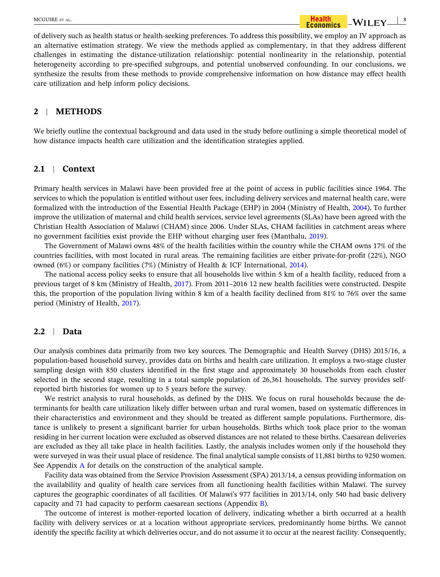of delivery such as health status or health‐seeking preferences. To address this possibility, we employ an IV approach as an alternative estimation strategy. We view the methods applied as complementary, in that they address different challenges in estimating the distance-utilization relationship: potential nonlinearity in the relationship, potential heterogeneity according to pre-specified subgroups, and potential unobserved confounding. In our conclusions, we synthesize the results from these methods to provide comprehensive information on how distance may effect health care utilization and help inform policy decisions.

#### **2** <sup>|</sup> **METHODS**

We briefly outline the contextual background and data used in the study before outlining a simple theoretical model of how distance impacts health care utilization and the identification strategies applied.

#### **2.1** <sup>|</sup> **Context**

Primary health services in Malawi have been provided free at the point of access in public facilities since 1964. The services to which the population is entitled without user fees, including delivery services and maternal health care, were formalized with the introduction of the Essential Health Package (EHP) in 2004 (Ministry of Health, 2004). To further improve the utilization of maternal and child health services, service level agreements (SLAs) have been agreed with the Christian Health Association of Malawi (CHAM) since 2006. Under SLAs, CHAM facilities in catchment areas where no government facilities exist provide the EHP without charging user fees (Manthalu, 2019).

The Government of Malawi owns 48% of the health facilities within the country while the CHAM owns 17% of the countries facilities, with most located in rural areas. The remaining facilities are either private‐for‐profit (22%), NGO owned (6%) or company facilities (7%) (Ministry of Health & ICF International, 2014).

The national access policy seeks to ensure that all households live within 5 km of a health facility, reduced from a previous target of 8 km (Ministry of Health, 2017). From 2011–2016 12 new health facilities were constructed. Despite this, the proportion of the population living within 8 km of a health facility declined from 81% to 76% over the same period (Ministry of Health, 2017).

#### **2.2** <sup>|</sup> **Data**

Our analysis combines data primarily from two key sources. The Demographic and Health Survey (DHS) 2015/16, a population-based household survey, provides data on births and health care utilization. It employs a two-stage cluster sampling design with 850 clusters identified in the first stage and approximately 30 households from each cluster selected in the second stage, resulting in a total sample population of 26,361 households. The survey provides selfreported birth histories for women up to 5 years before the survey.

We restrict analysis to rural households, as defined by the DHS. We focus on rural households because the determinants for health care utilization likely differ between urban and rural women, based on systematic differences in their characteristics and environment and they should be treated as different sample populations. Furthermore, distance is unlikely to present a significant barrier for urban households. Births which took place prior to the woman residing in her current location were excluded as observed distances are not related to these births. Caesarean deliveries are excluded as they all take place in health facilities. Lastly, the analysis includes women only if the household they were surveyed in was their usual place of residence. The final analytical sample consists of 11,881 births to 9250 women. See Appendix A for details on the construction of the analytical sample.

Facility data was obtained from the Service Provision Assessment (SPA) 2013/14, a census providing information on the availability and quality of health care services from all functioning health facilities within Malawi. The survey captures the geographic coordinates of all facilities. Of Malawi's 977 facilities in 2013/14, only 540 had basic delivery capacity and 71 had capacity to perform caesarean sections (Appendix B).

The outcome of interest is mother‐reported location of delivery, indicating whether a birth occurred at a health facility with delivery services or at a location without appropriate services, predominantly home births. We cannot identify the specific facility at which deliveries occur, and do not assume it to occur at the nearest facility. Consequently,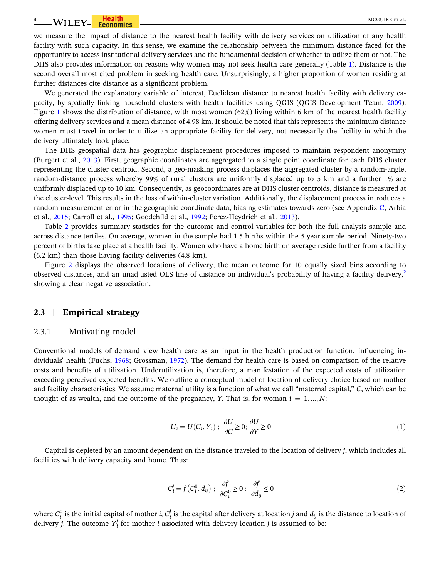we measure the impact of distance to the nearest health facility with delivery services on utilization of any health facility with such capacity. In this sense, we examine the relationship between the minimum distance faced for the opportunity to access institutional delivery services and the fundamental decision of whether to utilize them or not. The DHS also provides information on reasons why women may not seek health care generally (Table 1). Distance is the second overall most cited problem in seeking health care. Unsurprisingly, a higher proportion of women residing at further distances cite distance as a significant problem.

We generated the explanatory variable of interest, Euclidean distance to nearest health facility with delivery capacity, by spatially linking household clusters with health facilities using QGIS (QGIS Development Team, 2009). Figure 1 shows the distribution of distance, with most women (62%) living within 6 km of the nearest health facility offering delivery services and a mean distance of 4.98 km. It should be noted that this represents the minimum distance women must travel in order to utilize an appropriate facility for delivery, not necessarily the facility in which the delivery ultimately took place.

The DHS geospatial data has geographic displacement procedures imposed to maintain respondent anonymity (Burgert et al., 2013). First, geographic coordinates are aggregated to a single point coordinate for each DHS cluster representing the cluster centroid. Second, a geo-masking process displaces the aggregated cluster by a random-angle, random-distance process whereby 99% of rural clusters are uniformly displaced up to 5 km and a further 1% are uniformly displaced up to 10 km. Consequently, as geocoordinates are at DHS cluster centroids, distance is measured at the cluster‐level. This results in the loss of within‐cluster variation. Additionally, the displacement process introduces a random measurement error in the geographic coordinate data, biasing estimates towards zero (see Appendix C; Arbia et al., 2015; Carroll et al., 1995; Goodchild et al., 1992; Perez‐Heydrich et al., 2013).

Table 2 provides summary statistics for the outcome and control variables for both the full analysis sample and across distance tertiles. On average, women in the sample had 1.5 births within the 5 year sample period. Ninety-two percent of births take place at a health facility. Women who have a home birth on average reside further from a facility (6.2 km) than those having facility deliveries (4.8 km).

Figure 2 displays the observed locations of delivery, the mean outcome for 10 equally sized bins according to observed distances, and an unadjusted OLS line of distance on individual's probability of having a facility delivery,<sup>2</sup> showing a clear negative association.

#### **2.3** <sup>|</sup> **Empirical strategy**

#### 2.3.1 <sup>|</sup> Motivating model

Conventional models of demand view health care as an input in the health production function, influencing individuals' health (Fuchs, 1968; Grossman, 1972). The demand for health care is based on comparison of the relative costs and benefits of utilization. Underutilization is, therefore, a manifestation of the expected costs of utilization exceeding perceived expected benefits. We outline a conceptual model of location of delivery choice based on mother and facility characteristics. We assume maternal utility is a function of what we call "maternal capital," *C*, which can be thought of as wealth, and the outcome of the pregnancy, *Y*. That is, for woman  $i = 1, ..., N$ :

$$
U_i = U(C_i, Y_i) ; \frac{\partial U}{\partial C} \ge 0; \frac{\partial U}{\partial Y} \ge 0
$$
\n<sup>(1)</sup>

Capital is depleted by an amount dependent on the distance traveled to the location of delivery *j*, which includes all facilities with delivery capacity and home. Thus:

$$
C_i^j = f(C_i^0, d_{ij}) \; ; \; \frac{\partial f}{\partial C_i^0} \ge 0 \; ; \; \frac{\partial f}{\partial d_{ij}} \le 0 \tag{2}
$$

where  $C_i^0$  is the initial capital of mother *i*,  $C_i^j$  is the capital after delivery at location *j* and  $d_{ij}$  is the distance to location of delivery *j*. The outcome  $Y_i^j$  for mother *i* associated with delivery location *j* is assumed to be: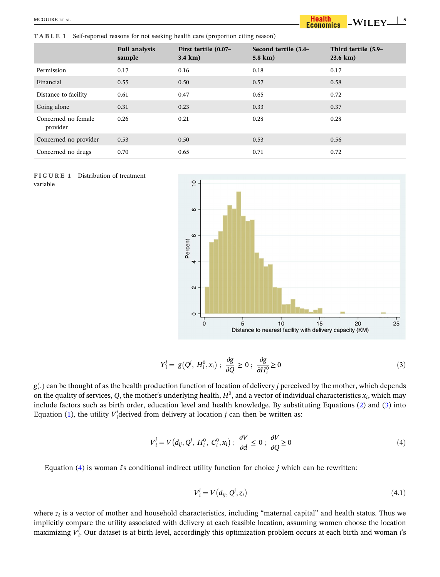**TABLE 1** Self‐reported reasons for not seeking health care (proportion citing reason)

#### $WILEY \perp$ <sup>5</sup> **Health**<br>Economics

|                                 | <b>Full analysis</b><br>sample | First tertile (0.07–<br>$3.4 \text{ km}$ ) | Second tertile (3.4–<br>5.8 km) | Third tertile (5.9–<br>23.6 km) |
|---------------------------------|--------------------------------|--------------------------------------------|---------------------------------|---------------------------------|
| Permission                      | 0.17                           | 0.16                                       | 0.18                            | 0.17                            |
| Financial                       | 0.55                           | 0.50                                       | 0.57                            | 0.58                            |
| Distance to facility            | 0.61                           | 0.47                                       | 0.65                            | 0.72                            |
| Going alone                     | 0.31                           | 0.23                                       | 0.33                            | 0.37                            |
| Concerned no female<br>provider | 0.26                           | 0.21                                       | 0.28                            | 0.28                            |
| Concerned no provider           | 0.53                           | 0.50                                       | 0.53                            | 0.56                            |
| Concerned no drugs              | 0.70                           | 0.65                                       | 0.71                            | 0.72                            |





$$
Y_i^j = g(Q^j, H_i^0, x_i); \frac{\partial g}{\partial Q} \ge 0; \frac{\partial g}{\partial H_i^0} \ge 0
$$
\n(3)

*g*ð*:*Þ can be thought of as the health production function of location of delivery *j* perceived by the mother, which depends on the quality of services,  $Q$ , the mother's underlying health,  $H^0$ , and a vector of individual characteristics  $x_i$ , which may include factors such as birth order, education level and health knowledge. By substituting Equations (2) and (3) into Equation (1), the utility  $V_i^j$  derived from delivery at location *j* can then be written as:

$$
V_i^j = V(d_{ij}, Q^j, H_i^0, C_i^0, x_i); \frac{\partial V}{\partial d} \le 0; \frac{\partial V}{\partial Q} \ge 0
$$
\n
$$
(4)
$$

Equation (4) is woman *i*'s conditional indirect utility function for choice *j* which can be rewritten:

$$
V_i^j = V(d_{ij}, Q^j, z_i) \tag{4.1}
$$

where *z<sup>i</sup>* is a vector of mother and household characteristics, including "maternal capital" and health status. Thus we implicitly compare the utility associated with delivery at each feasible location, assuming women choose the location maximizing *V j i* . Our dataset is at birth level, accordingly this optimization problem occurs at each birth and woman *i*'s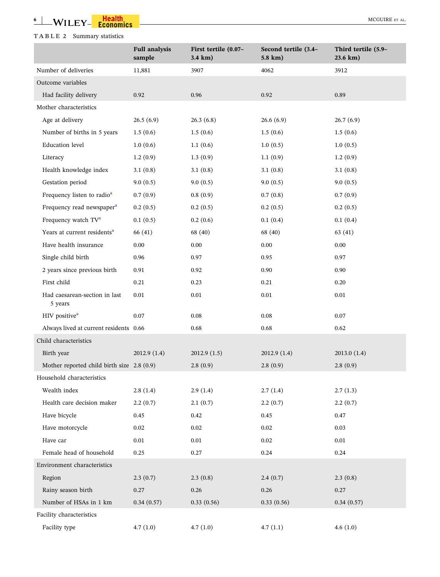## **TABLE 2** Summary statistics

|                                            | <b>Full analysis</b><br>sample | First tertile (0.07-<br>3.4 km) | Second tertile (3.4-<br>5.8 km) | Third tertile (5.9-<br>23.6 km) |
|--------------------------------------------|--------------------------------|---------------------------------|---------------------------------|---------------------------------|
| Number of deliveries                       | 11,881                         | 3907                            | 4062                            | 3912                            |
| Outcome variables                          |                                |                                 |                                 |                                 |
| Had facility delivery                      | 0.92                           | 0.96                            | 0.92                            | 0.89                            |
| Mother characteristics                     |                                |                                 |                                 |                                 |
| Age at delivery                            | 26.5(6.9)                      | 26.3(6.8)                       | 26.6(6.9)                       | 26.7(6.9)                       |
| Number of births in 5 years                | 1.5(0.6)                       | 1.5(0.6)                        | 1.5(0.6)                        | 1.5(0.6)                        |
| <b>Education</b> level                     | 1.0(0.6)                       | 1.1(0.6)                        | 1.0(0.5)                        | 1.0(0.5)                        |
| Literacy                                   | 1.2(0.9)                       | 1.3(0.9)                        | 1.1(0.9)                        | 1.2(0.9)                        |
| Health knowledge index                     | 3.1(0.8)                       | 3.1(0.8)                        | 3.1(0.8)                        | 3.1(0.8)                        |
| Gestation period                           | 9.0(0.5)                       | 9.0(0.5)                        | 9.0(0.5)                        | 9.0(0.5)                        |
| Frequency listen to radio <sup>a</sup>     | 0.7(0.9)                       | 0.8(0.9)                        | 0.7(0.8)                        | 0.7(0.9)                        |
| Frequency read newspaper <sup>a</sup>      | 0.2(0.5)                       | 0.2(0.5)                        | 0.2(0.5)                        | 0.2(0.5)                        |
| Frequency watch TV <sup>a</sup>            | 0.1(0.5)                       | 0.2(0.6)                        | 0.1(0.4)                        | 0.1(0.4)                        |
| Years at current residents <sup>a</sup>    | 66 (41)                        | 68 (40)                         | 68 (40)                         | 63(41)                          |
| Have health insurance                      | 0.00                           | 0.00                            | 0.00                            | 0.00                            |
| Single child birth                         | 0.96                           | 0.97                            | 0.95                            | 0.97                            |
| 2 years since previous birth               | 0.91                           | 0.92                            | 0.90                            | 0.90                            |
| First child                                | 0.21                           | 0.23                            | 0.21                            | 0.20                            |
| Had caesarean-section in last<br>5 years   | 0.01                           | 0.01                            | 0.01                            | $0.01\,$                        |
| HIV positive <sup>a</sup>                  | 0.07                           | $0.08\,$                        | 0.08                            | $0.07\,$                        |
| Always lived at current residents 0.66     |                                | 0.68                            | 0.68                            | 0.62                            |
| Child characteristics                      |                                |                                 |                                 |                                 |
| Birth year                                 | 2012.9 (1.4)                   | 2012.9 (1.5)                    | 2012.9 (1.4)                    | 2013.0(1.4)                     |
| Mother reported child birth size 2.8 (0.9) |                                | 2.8(0.9)                        | 2.8(0.9)                        | 2.8(0.9)                        |
| Household characteristics                  |                                |                                 |                                 |                                 |
| Wealth index                               | 2.8(1.4)                       | 2.9(1.4)                        | 2.7(1.4)                        | 2.7(1.3)                        |
| Health care decision maker                 | 2.2(0.7)                       | 2.1(0.7)                        | 2.2(0.7)                        | 2.2(0.7)                        |
| Have bicycle                               | 0.45                           | 0.42                            | 0.45                            | 0.47                            |
| Have motorcycle                            | 0.02                           | $0.02\,$                        | 0.02                            | 0.03                            |
| Have car                                   | 0.01                           | 0.01                            | 0.02                            | $0.01\,$                        |
| Female head of household                   | 0.25                           | 0.27                            | 0.24                            | 0.24                            |
| Environment characteristics                |                                |                                 |                                 |                                 |
| Region                                     | 2.3(0.7)                       | 2.3(0.8)                        | 2.4(0.7)                        | 2.3(0.8)                        |
| Rainy season birth                         | 0.27                           | 0.26                            | 0.26                            | 0.27                            |
| Number of HSAs in 1 km                     | 0.34(0.57)                     | 0.33(0.56)                      | 0.33(0.56)                      | 0.34(0.57)                      |
| Facility characteristics                   |                                |                                 |                                 |                                 |
| Facility type                              | 4.7(1.0)                       | 4.7(1.0)                        | 4.7(1.1)                        | 4.6(1.0)                        |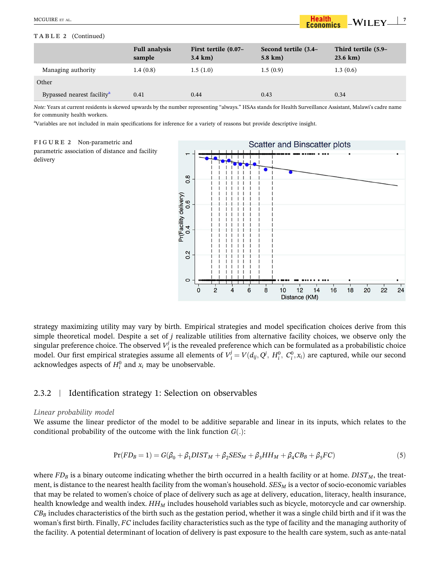#### **TABLE 2** (Continued)

|                                        | <b>Full analysis</b><br>sample | First tertile (0.07–<br>$3.4 \text{ km}$ ) | Second tertile (3.4–<br>$5.8 \text{ km}$ ) | Third tertile (5.9–<br>$23.6 \text{ km}$ ) |
|----------------------------------------|--------------------------------|--------------------------------------------|--------------------------------------------|--------------------------------------------|
| Managing authority                     | 1.4(0.8)                       | 1.5(1.0)                                   | 1.5(0.9)                                   | 1.3(0.6)                                   |
| Other                                  |                                |                                            |                                            |                                            |
| Bypassed nearest facility <sup>a</sup> | 0.41                           | 0.44                                       | 0.43                                       | 0.34                                       |

*Note:* Years at current residents is skewed upwards by the number representing "always." HSAs stands for Health Surveillance Assistant, Malawi's cadre name for community health workers.

<sup>a</sup>Variables are not included in main specifications for inference for a variety of reasons but provide descriptive insight.

#### FIGURE 2 Non-parametric and

parametric association of distance and facility delivery



 $\rm WILEY \_\!\_7$ 

**Health**<br>Economics

strategy maximizing utility may vary by birth. Empirical strategies and model specification choices derive from this simple theoretical model. Despite a set of *j* realizable utilities from alternative facility choices, we observe only the singular preference choice. The observed  $V_i^j$  is the revealed preference which can be formulated as a probabilistic choice model. Our first empirical strategies assume all elements of  $V_i^j = V(d_{ij}, Q^j, H_i^0, C_i^0, x_i)$  are captured, while our second acknowledges aspects of  $H_i^0$  and  $x_i$  may be unobservable.

## 2.3.2 <sup>|</sup> Identification strategy 1: Selection on observables

#### *Linear probability model*

We assume the linear predictor of the model to be additive separable and linear in its inputs, which relates to the conditional probability of the outcome with the link function  $G(.)$ :

$$
Pr(FD_B = 1) = G(\beta_0 + \beta_1 DIST_M + \beta_2 SES_M + \beta_3 HH_M + \beta_4 CB_B + \beta_5 FC)
$$
\n<sup>(5)</sup>

where *FD<sup>B</sup>* is a binary outcome indicating whether the birth occurred in a health facility or at home. *DISTM*, the treatment, is distance to the nearest health facility from the woman's household. *SES<sup>M</sup>* is a vector of socio‐economic variables that may be related to women's choice of place of delivery such as age at delivery, education, literacy, health insurance, health knowledge and wealth index. *HH<sup>M</sup>* includes household variables such as bicycle, motorcycle and car ownership. *CB<sup>B</sup>* includes characteristics of the birth such as the gestation period, whether it was a single child birth and if it was the woman's first birth. Finally, *FC* includes facility characteristics such as the type of facility and the managing authority of the facility. A potential determinant of location of delivery is past exposure to the health care system, such as ante‐natal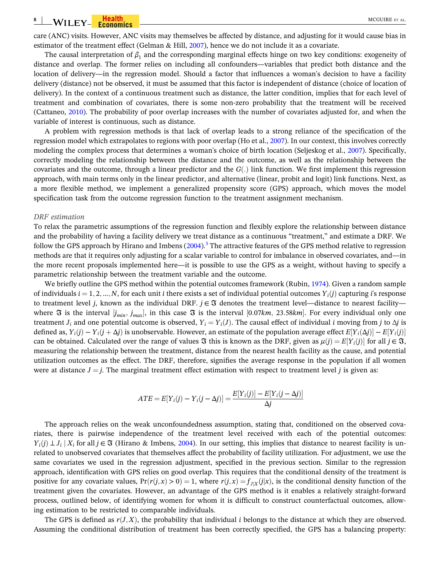care (ANC) visits. However, ANC visits may themselves be affected by distance, and adjusting for it would cause bias in estimator of the treatment effect (Gelman & Hill, 2007), hence we do not include it as a covariate.

The causal interpretation of  $\beta_1$  and the corresponding marginal effects hinge on two key conditions: exogeneity of distance and overlap. The former relies on including all confounders—variables that predict both distance and the location of delivery—in the regression model. Should a factor that influences a woman's decision to have a facility delivery (distance) not be observed, it must be assumed that this factor is independent of distance (choice of location of delivery). In the context of a continuous treatment such as distance, the latter condition, implies that for each level of treatment and combination of covariates, there is some non‐zero probability that the treatment will be received (Cattaneo, 2010). The probability of poor overlap increases with the number of covariates adjusted for, and when the variable of interest is continuous, such as distance.

A problem with regression methods is that lack of overlap leads to a strong reliance of the specification of the regression model which extrapolates to regions with poor overlap (Ho et al., 2007). In our context, this involves correctly modeling the complex process that determines a woman's choice of birth location (Seljeskog et al., 2007). Specifically, correctly modeling the relationship between the distance and the outcome, as well as the relationship between the covariates and the outcome, through a linear predictor and the  $G(.)$  link function. We first implement this regression approach, with main terms only in the linear predictor, and alternative (linear, probit and logit) link functions. Next, as a more flexible method, we implement a generalized propensity score (GPS) approach, which moves the model specification task from the outcome regression function to the treatment assignment mechanism.

#### *DRF estimation*

To relax the parametric assumptions of the regression function and flexibly explore the relationship between distance and the probability of having a facility delivery we treat distance as a continuous "treatment," and estimate a DRF. We follow the GPS approach by Hirano and Imbens (2004).<sup>3</sup> The attractive features of the GPS method relative to regression methods are that it requires only adjusting for a scalar variable to control for imbalance in observed covariates, and—in the more recent proposals implemented here—it is possible to use the GPS as a weight, without having to specify a parametric relationship between the treatment variable and the outcome.

We briefly outline the GPS method within the potential outcomes framework (Rubin, 1974). Given a random sample of individuals  $i = 1, 2, ..., N$ , for each unit *i* there exists a set of individual potential outcomes  $Y_i(i)$  capturing *i*'s response to treatment level *j*, known as the individual DRF.  $j \in \mathfrak{F}$  denotes the treatment level—distance to nearest facility where  $\Im$  is the interval  $[j_{min}, j_{max}]$ , in this case  $\Im$  is the interval [0.07*km*, 23.58*km*]. For every individual only one treatment *J*<sub>*i*</sub> and one potential outcome is observed,  $Y_i = Y_i(J)$ . The causal effect of individual *i* moving from *j* to  $\Delta j$  is defined as,  $Y_i(j) - Y_i(j + \Delta j)$  is unobservable. However, an estimate of the population average effect  $E[Y_i(\Delta j)] - E[Y_i(j)]$ can be obtained. Calculated over the range of values  $\Im$  this is known as the DRF, given as  $\mu(j) = E[Y_i(j)]$  for all  $j \in \Im$ , measuring the relationship between the treatment, distance from the nearest health facility as the cause, and potential utilization outcomes as the effect. The DRF, therefore, signifies the average response in the population if all women were at distance  $J = j$ . The marginal treatment effect estimation with respect to treatment level *j* is given as:

$$
ATE = E[Y_i(j) - Y_i(j - \Delta j)] = \frac{E[Y_i(j)] - E[Y_i(j - \Delta j)]}{\Delta j}
$$

The approach relies on the weak unconfoundedness assumption, stating that, conditioned on the observed covariates, there is pairwise independence of the treatment level received with each of the potential outcomes:  $Y_i(j) \perp J_i | X_i$  for all  $j \in \mathfrak{F}$  (Hirano & Imbens, 2004). In our setting, this implies that distance to nearest facility is unrelated to unobserved covariates that themselves affect the probability of facility utilization. For adjustment, we use the same covariates we used in the regression adjustment, specified in the previous section. Similar to the regression approach, identification with GPS relies on good overlap. This requires that the conditional density of the treatment is positive for any covariate values,  $Pr(r(j, x) > 0) = 1$ , where  $r(j, x) = f_{J|X}(j|x)$ , is the conditional density function of the treatment given the covariates. However, an advantage of the GPS method is it enables a relatively straight‐forward process, outlined below, of identifying women for whom it is difficult to construct counterfactual outcomes, allowing estimation to be restricted to comparable individuals.

The GPS is defined as  $r(J,X)$ , the probability that individual *i* belongs to the distance at which they are observed. Assuming the conditional distribution of treatment has been correctly specified, the GPS has a balancing property: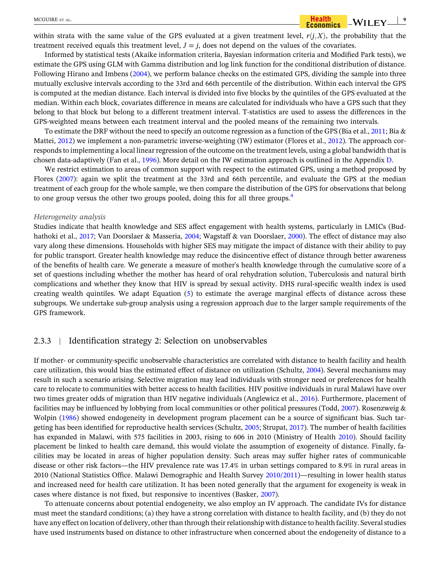within strata with the same value of the GPS evaluated at a given treatment level,  $r(j, X)$ , the probability that the treatment received equals this treatment level,  $J = j$ , does not depend on the values of the covariates.

Informed by statistical tests (Akaike information criteria, Bayesian information criteria and Modified Park tests), we estimate the GPS using GLM with Gamma distribution and log link function for the conditional distribution of distance. Following Hirano and Imbens (2004), we perform balance checks on the estimated GPS, dividing the sample into three mutually exclusive intervals according to the 33rd and 66th percentile of the distribution. Within each interval the GPS is computed at the median distance. Each interval is divided into five blocks by the quintiles of the GPS evaluated at the median. Within each block, covariates difference in means are calculated for individuals who have a GPS such that they belong to that block but belong to a different treatment interval. T‐statistics are used to assess the differences in the GPS-weighted means between each treatment interval and the pooled means of the remaining two intervals.

To estimate the DRF without the need to specify an outcome regression as a function of the GPS (Bia et al., 2011; Bia & Mattei, 2012) we implement a non-parametric inverse-weighting (IW) estimator (Flores et al., 2012). The approach corresponds to implementing a local linear regression of the outcome on the treatment levels, using a global bandwidth that is chosen data-adaptively (Fan et al., 1996). More detail on the IW estimation approach is outlined in the Appendix D.

We restrict estimation to areas of common support with respect to the estimated GPS, using a method proposed by Flores (2007): again we split the treatment at the 33rd and 66th percentile, and evaluate the GPS at the median treatment of each group for the whole sample, we then compare the distribution of the GPS for observations that belong to one group versus the other two groups pooled, doing this for all three groups.<sup>4</sup>

#### *Heterogeneity analysis*

Studies indicate that health knowledge and SES affect engagement with health systems, particularly in LMICs (Budhathoki et al., 2017; Van Doorslaer & Masseria, 2004; Wagstaff & van Doorslaer, 2000). The effect of distance may also vary along these dimensions. Households with higher SES may mitigate the impact of distance with their ability to pay for public transport. Greater health knowledge may reduce the disincentive effect of distance through better awareness of the benefits of health care. We generate a measure of mother's health knowledge through the cumulative score of a set of questions including whether the mother has heard of oral rehydration solution, Tuberculosis and natural birth complications and whether they know that HIV is spread by sexual activity. DHS rural‐specific wealth index is used creating wealth quintiles. We adapt Equation (5) to estimate the average marginal effects of distance across these subgroups. We undertake sub‐group analysis using a regression approach due to the larger sample requirements of the GPS framework.

#### 2.3.3 <sup>|</sup> Identification strategy 2: Selection on unobservables

If mother‐ or community‐specific unobservable characteristics are correlated with distance to health facility and health care utilization, this would bias the estimated effect of distance on utilization (Schultz, 2004). Several mechanisms may result in such a scenario arising. Selective migration may lead individuals with stronger need or preferences for health care to relocate to communities with better access to health facilities. HIV positive individuals in rural Malawi have over two times greater odds of migration than HIV negative individuals (Anglewicz et al., 2016). Furthermore, placement of facilities may be influenced by lobbying from local communities or other political pressures (Todd, 2007). Rosenzweig & Wolpin (1986) showed endogeneity in development program placement can be a source of significant bias. Such targeting has been identified for reproductive health services (Schultz, 2005; Strupat, 2017). The number of health facilities has expanded in Malawi, with 575 facilities in 2003, rising to 606 in 2010 (Ministry of Health 2010). Should facility placement be linked to health care demand, this would violate the assumption of exogeneity of distance. Finally, facilities may be located in areas of higher population density. Such areas may suffer higher rates of communicable disease or other risk factors—the HIV prevalence rate was 17.4% in urban settings compared to 8.9% in rural areas in 2010 (National Statistics Office. Malawi Demographic and Health Survey 2010/2011)—resulting in lower health status and increased need for health care utilization. It has been noted generally that the argument for exogeneity is weak in cases where distance is not fixed, but responsive to incentives (Basker, 2007).

To attenuate concerns about potential endogeneity, we also employ an IV approach. The candidate IVs for distance must meet the standard conditions; (a) they have a strong correlation with distance to health facility, and (b) they do not have any effect on location of delivery, other than through their relationship with distance to health facility. Several studies have used instruments based on distance to other infrastructure when concerned about the endogeneity of distance to a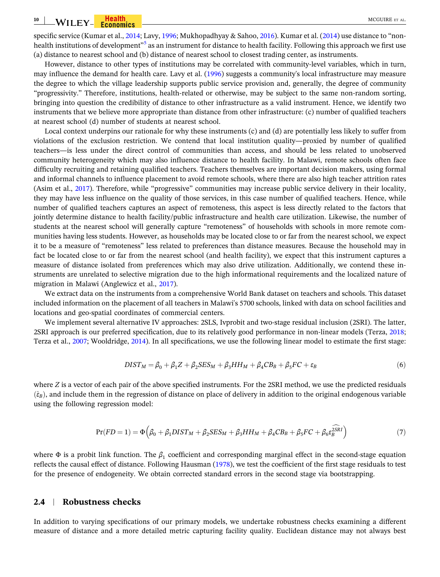#### **10** WILEY Feodomics Communication of the MCGUIRE ET AL.

specific service (Kumar et al., 2014; Lavy, 1996; Mukhopadhyay & Sahoo, 2016). Kumar et al. (2014) use distance to "nonhealth institutions of development"<sup>5</sup> as an instrument for distance to health facility. Following this approach we first use (a) distance to nearest school and (b) distance of nearest school to closest trading center, as instruments.

However, distance to other types of institutions may be correlated with community-level variables, which in turn, may influence the demand for health care. Lavy et al. (1996) suggests a community's local infrastructure may measure the degree to which the village leadership supports public service provision and, generally, the degree of community "progressivity." Therefore, institutions, health‐related or otherwise, may be subject to the same non‐random sorting, bringing into question the credibility of distance to other infrastructure as a valid instrument. Hence, we identify two instruments that we believe more appropriate than distance from other infrastructure: (c) number of qualified teachers at nearest school (d) number of students at nearest school.

Local context underpins our rationale for why these instruments (c) and (d) are potentially less likely to suffer from violations of the exclusion restriction. We contend that local institution quality—proxied by number of qualified teachers—is less under the direct control of communities than access, and should be less related to unobserved community heterogeneity which may also influence distance to health facility. In Malawi, remote schools often face difficulty recruiting and retaining qualified teachers. Teachers themselves are important decision makers, using formal and informal channels to influence placement to avoid remote schools, where there are also high teacher attrition rates (Asim et al., 2017). Therefore, while "progressive" communities may increase public service delivery in their locality, they may have less influence on the quality of those services, in this case number of qualified teachers. Hence, while number of qualified teachers captures an aspect of remoteness, this aspect is less directly related to the factors that jointly determine distance to health facility/public infrastructure and health care utilization. Likewise, the number of students at the nearest school will generally capture "remoteness" of households with schools in more remote communities having less students. However, as households may be located close to or far from the nearest school, we expect it to be a measure of "remoteness" less related to preferences than distance measures. Because the household may in fact be located close to or far from the nearest school (and health facility), we expect that this instrument captures a measure of distance isolated from preferences which may also drive utilization. Additionally, we contend these instruments are unrelated to selective migration due to the high informational requirements and the localized nature of migration in Malawi (Anglewicz et al., 2017).

We extract data on the instruments from a comprehensive World Bank dataset on teachers and schools. This dataset included information on the placement of all teachers in Malawi's 5700 schools, linked with data on school facilities and locations and geo‐spatial coordinates of commercial centers.

We implement several alternative IV approaches: 2SLS, Ivprobit and two-stage residual inclusion (2SRI). The latter, 2SRI approach is our preferred specification, due to its relatively good performance in non‐linear models (Terza, 2018; Terza et al., 2007; Wooldridge, 2014). In all specifications, we use the following linear model to estimate the first stage:

$$
DIST_M = \beta_0 + \beta_1 Z + \beta_2 SES_M + \beta_3 HH_M + \beta_4 CB_B + \beta_5 FC + \varepsilon_B
$$
\n(6)

where *Z* is a vector of each pair of the above specified instruments. For the 2SRI method, we use the predicted residuals  $(\hat{\epsilon}_B)$ , and include them in the regression of distance on place of delivery in addition to the original endogenous variable using the following regression model:

$$
Pr(FD = 1) = \Phi\left(\beta_0 + \beta_1 DIST_M + \beta_2 SES_M + \beta_3 HH_M + \beta_4 CB_B + \beta_5 FC + \beta_6 \hat{\epsilon}_B^{2SRI}\right)
$$
(7)

where  $\Phi$  is a probit link function. The  $\beta_1$  coefficient and corresponding marginal effect in the second-stage equation reflects the causal effect of distance. Following Hausman (1978), we test the coefficient of the first stage residuals to test for the presence of endogeneity. We obtain corrected standard errors in the second stage via bootstrapping.

#### **2.4** <sup>|</sup> **Robustness checks**

In addition to varying specifications of our primary models, we undertake robustness checks examining a different measure of distance and a more detailed metric capturing facility quality. Euclidean distance may not always best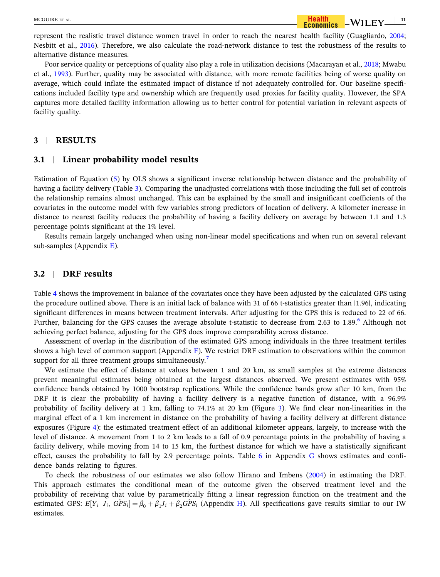represent the realistic travel distance women travel in order to reach the nearest health facility (Guagliardo, 2004; Nesbitt et al., 2016). Therefore, we also calculate the road-network distance to test the robustness of the results to alternative distance measures.

Poor service quality or perceptions of quality also play a role in utilization decisions (Macarayan et al., 2018; Mwabu et al., 1993). Further, quality may be associated with distance, with more remote facilities being of worse quality on average, which could inflate the estimated impact of distance if not adequately controlled for. Our baseline specifications included facility type and ownership which are frequently used proxies for facility quality. However, the SPA captures more detailed facility information allowing us to better control for potential variation in relevant aspects of facility quality.

## **3** <sup>|</sup> **RESULTS**

#### **3.1** <sup>|</sup> **Linear probability model results**

Estimation of Equation (5) by OLS shows a significant inverse relationship between distance and the probability of having a facility delivery (Table 3). Comparing the unadjusted correlations with those including the full set of controls the relationship remains almost unchanged. This can be explained by the small and insignificant coefficients of the covariates in the outcome model with few variables strong predictors of location of delivery. A kilometer increase in distance to nearest facility reduces the probability of having a facility delivery on average by between 1.1 and 1.3 percentage points significant at the 1% level.

Results remain largely unchanged when using non-linear model specifications and when run on several relevant sub-samples (Appendix  $E$ ).

## **3.2** <sup>|</sup> **DRF results**

Table 4 shows the improvement in balance of the covariates once they have been adjusted by the calculated GPS using the procedure outlined above. There is an initial lack of balance with 31 of 66 t-statistics greater than  $|1.96|$ , indicating significant differences in means between treatment intervals. After adjusting for the GPS this is reduced to 22 of 66. Further, balancing for the GPS causes the average absolute t-statistic to decrease from 2.63 to 1.89.<sup>6</sup> Although not achieving perfect balance, adjusting for the GPS does improve comparability across distance.

Assessment of overlap in the distribution of the estimated GPS among individuals in the three treatment tertiles shows a high level of common support (Appendix  $\overline{F}$ ). We restrict DRF estimation to observations within the common support for all three treatment groups simultaneously.<sup>7</sup>

We estimate the effect of distance at values between 1 and 20 km, as small samples at the extreme distances prevent meaningful estimates being obtained at the largest distances observed. We present estimates with 95% confidence bands obtained by 1000 bootstrap replications. While the confidence bands grow after 10 km, from the DRF it is clear the probability of having a facility delivery is a negative function of distance, with a 96.9% probability of facility delivery at 1 km, falling to 74.1% at 20 km (Figure 3). We find clear non‐linearities in the marginal effect of a 1 km increment in distance on the probability of having a facility delivery at different distance exposures (Figure 4): the estimated treatment effect of an additional kilometer appears, largely, to increase with the level of distance. A movement from 1 to 2 km leads to a fall of 0.9 percentage points in the probability of having a facility delivery, while moving from 14 to 15 km, the furthest distance for which we have a statistically significant effect, causes the probability to fall by 2.9 percentage points. Table 6 in Appendix G shows estimates and confidence bands relating to figures.

To check the robustness of our estimates we also follow Hirano and Imbens (2004) in estimating the DRF. This approach estimates the conditional mean of the outcome given the observed treatment level and the probability of receiving that value by parametrically fitting a linear regression function on the treatment and the estimated GPS:  $E[Y_i | I_i, GPS_i] = \beta_0 + \beta_1 I_i + \beta_2 GPS_i$  (Appendix H). All specifications gave results similar to our IW estimates.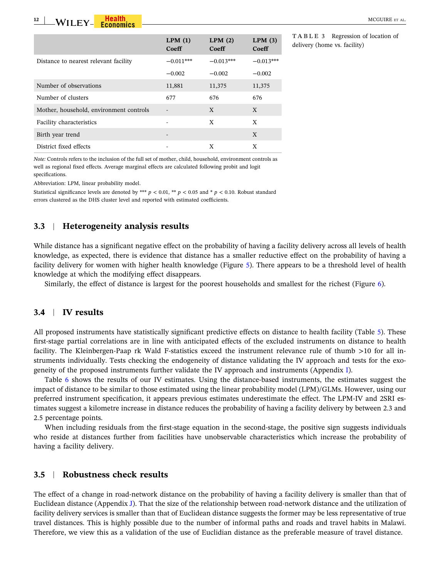**12**  $\text{WII}$   $\text{FY}_n$   $\text{Health}$   $\text{Hess}$   $\text{Hess}$   $\text{Hess}$   $\text{Hess}$   $\text{Hess}$   $\text{Hess}$   $\text{Hess}$   $\text{Hess}$   $\text{Hess}$   $\text{Hess}$   $\text{Hess}$   $\text{Hess}$   $\text{Hess}$   $\text{Hess}$   $\text{Hess}$   $\text{Hess}$   $\text{Hess}$   $\text{Hess}$   $\text{Hess}$   $\text{Hess}$   $\text{Hess}$   $\text{H$ 

|                                         | LPM(1)<br>Coeff | LPM(2)<br>Coeff | LPM(3)<br>Coeff |
|-----------------------------------------|-----------------|-----------------|-----------------|
| Distance to nearest relevant facility   | $-0.011***$     | $-0.013***$     | $-0.013***$     |
|                                         | $-0.002$        | $-0.002$        | $-0.002$        |
| Number of observations                  | 11,881          | 11,375          | 11,375          |
| Number of clusters                      | 677             | 676             | 676             |
| Mother, household, environment controls |                 | X               | X               |
| Facility characteristics                |                 | X               | X               |
| Birth year trend                        |                 |                 | X               |
| District fixed effects                  |                 | X               | X               |

**TABLE 3** Regression of location of delivery (home vs. facility)

*Note:* Controls refers to the inclusion of the full set of mother, child, household, environment controls as well as regional fixed effects. Average marginal effects are calculated following probit and logit specifications.

Abbreviation: LPM, linear probability model.

Statistical significance levels are denoted by \*\*\*  $p < 0.01$ , \*\*  $p < 0.05$  and \*  $p < 0.10$ . Robust standard errors clustered as the DHS cluster level and reported with estimated coefficients.

## **3.3** <sup>|</sup> **Heterogeneity analysis results**

While distance has a significant negative effect on the probability of having a facility delivery across all levels of health knowledge, as expected, there is evidence that distance has a smaller reductive effect on the probability of having a facility delivery for women with higher health knowledge (Figure 5). There appears to be a threshold level of health knowledge at which the modifying effect disappears.

Similarly, the effect of distance is largest for the poorest households and smallest for the richest (Figure 6).

## **3.4** <sup>|</sup> **IV results**

All proposed instruments have statistically significant predictive effects on distance to health facility (Table 5). These first-stage partial correlations are in line with anticipated effects of the excluded instruments on distance to health facility. The Kleinbergen-Paap rk Wald F-statistics exceed the instrument relevance rule of thumb >10 for all instruments individually. Tests checking the endogeneity of distance validating the IV approach and tests for the exogeneity of the proposed instruments further validate the IV approach and instruments (Appendix I).

Table 6 shows the results of our IV estimates. Using the distance-based instruments, the estimates suggest the impact of distance to be similar to those estimated using the linear probability model (LPM)/GLMs. However, using our preferred instrument specification, it appears previous estimates underestimate the effect. The LPM‐IV and 2SRI estimates suggest a kilometre increase in distance reduces the probability of having a facility delivery by between 2.3 and 2.5 percentage points.

When including residuals from the first-stage equation in the second-stage, the positive sign suggests individuals who reside at distances further from facilities have unobservable characteristics which increase the probability of having a facility delivery.

## **3.5** <sup>|</sup> **Robustness check results**

The effect of a change in road-network distance on the probability of having a facility delivery is smaller than that of Euclidean distance (Appendix J). That the size of the relationship between road‐network distance and the utilization of facility delivery services is smaller than that of Euclidean distance suggests the former may be less representative of true travel distances. This is highly possible due to the number of informal paths and roads and travel habits in Malawi. Therefore, we view this as a validation of the use of Euclidian distance as the preferable measure of travel distance.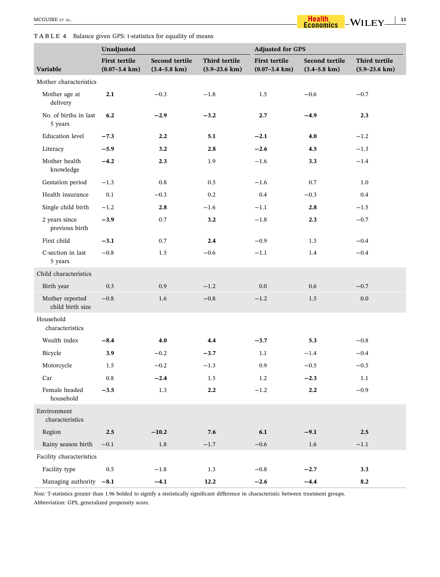#### **TABLE 4** Balance given GPS: t‐statistics for equality of means

|                                     | Unadjusted                                        |                                            |                                            | <b>Adjusted for GPS</b>                           |                                                   |                                            |
|-------------------------------------|---------------------------------------------------|--------------------------------------------|--------------------------------------------|---------------------------------------------------|---------------------------------------------------|--------------------------------------------|
| Variable                            | <b>First tertile</b><br>$(0.07 - 3.4 \text{ km})$ | Second tertile<br>$(3.4 - 5.8 \text{ km})$ | Third tertile<br>$(5.9 - 23.6 \text{ km})$ | <b>First tertile</b><br>$(0.07 - 3.4 \text{ km})$ | <b>Second tertile</b><br>$(3.4 - 5.8 \text{ km})$ | Third tertile<br>$(5.9 - 23.6 \text{ km})$ |
| Mother characteristics              |                                                   |                                            |                                            |                                                   |                                                   |                                            |
| Mother age at<br>delivery           | 2.1                                               | $-0.3$                                     | $-1.8$                                     | 1.5                                               | $-0.6$                                            | $-0.7$                                     |
| No. of births in last<br>5 years    | 6.2                                               | $-2.9$                                     | $-3.2$                                     | 2.7                                               | $-4.9$                                            | 2.3                                        |
| <b>Education</b> level              | $-7.3$                                            | 2.2                                        | 5.1                                        | $-2.1$                                            | 4.0                                               | $-1.2$                                     |
| Literacy                            | $-5.9$                                            | 3.2                                        | 2.8                                        | $-2.6$                                            | 4.5                                               | $-1.3$                                     |
| Mother health<br>knowledge          | $-4.2$                                            | 2.3                                        | 1.9                                        | $-1.6$                                            | 3.3                                               | $-1.4$                                     |
| Gestation period                    | $-1.3$                                            | 0.8                                        | 0.5                                        | $-1.6$                                            | 0.7                                               | 1.0                                        |
| Health insurance                    | 0.1                                               | $-0.3$                                     | 0.2                                        | 0.4                                               | $-0.3$                                            | 0.4                                        |
| Single child birth                  | $-1.2$                                            | 2.8                                        | $-1.6$                                     | $-1.1$                                            | 2.8                                               | $-1.5$                                     |
| 2 years since<br>previous birth     | $-3.9$                                            | 0.7                                        | 3.2                                        | $-1.8$                                            | 2.3                                               | $-0.7$                                     |
| First child                         | $-3.1$                                            | $0.7\,$                                    | 2.4                                        | $-0.9$                                            | 1.3                                               | $-0.4$                                     |
| C-section in last<br>5 years        | $-0.8$                                            | $1.5\,$                                    | $-0.6$                                     | $-1.1$                                            | 1.4                                               | $-0.4$                                     |
| Child characteristics               |                                                   |                                            |                                            |                                                   |                                                   |                                            |
| Birth year                          | 0.3                                               | 0.9                                        | $-1.2$                                     | 0.0                                               | 0.6                                               | $-0.7$                                     |
| Mother reported<br>child birth size | $-0.8$                                            | 1.6                                        | $-0.8$                                     | $-1.2$                                            | 1.5                                               | 0.0                                        |
| Household<br>characteristics        |                                                   |                                            |                                            |                                                   |                                                   |                                            |
| Wealth index                        | $-8.4$                                            | 4.0                                        | 4.4                                        | $-3.7$                                            | 5.3                                               | $-0.8$                                     |
| Bicycle                             | 3.9                                               | $-0.2$                                     | $-3.7$                                     | 1.1                                               | $-1.4$                                            | $-0.4$                                     |
| Motorcycle                          | 1.5                                               | $-0.2$                                     | $-1.3$                                     | 0.9                                               | $-0.5$                                            | $-0.5$                                     |
| Car                                 | $0.8\,$                                           | $-2.4$                                     | 1.5                                        | 1.2                                               | $-2.3$                                            | 1.1                                        |
| Female headed<br>household          | $-3.5$                                            | 1.3                                        | $\bf 2.2$                                  | $-1.2$                                            | $\bf 2.2$                                         | $-0.9$                                     |
| Environment<br>characteristics      |                                                   |                                            |                                            |                                                   |                                                   |                                            |
| Region                              | $2.5$                                             | $-10.2$                                    | 7.6                                        | 6.1                                               | $-9.1$                                            | $2.5\,$                                    |
| Rainy season birth                  | $-0.1$                                            | 1.8                                        | $-1.7$                                     | $-0.6$                                            | $1.6\,$                                           | $-1.1$                                     |
| Facility characteristics            |                                                   |                                            |                                            |                                                   |                                                   |                                            |
| Facility type                       | $0.5\,$                                           | $-1.8$                                     | 1.3                                        | $-0.8$                                            | $-2.7$                                            | 3.3                                        |
| Managing authority -8.1             |                                                   | $-4.1$                                     | $12.2\,$                                   | $-2.6$                                            | $-4.4$                                            | 8.2                                        |

*Note:* T-statistics greater than 1.96 bolded to signify a statistically significant difference in characteristic between treatment groups.

Abbreviation: GPS, generalized propensity score.

 $-WILEY \frac{13}{13}$ 

Health<br>Economics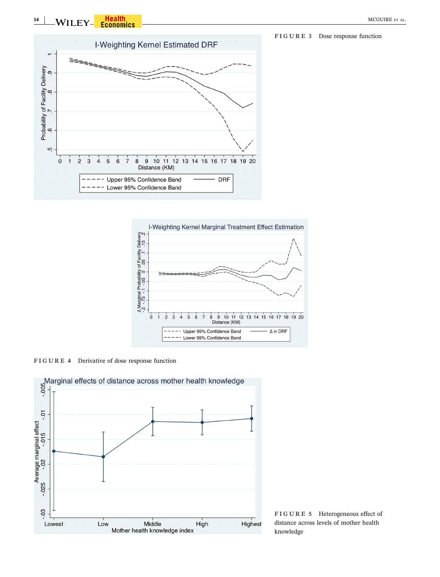WILEY <mark>– Health</mark> – Microsoft – Microsoft – Microsoft – Microsoft – Microsoft – Microsoft – Microsoft – Microsoft – Microsoft – Microsoft – Microsoft – Microsoft – Microsoft – Microsoft – Microsoft – Microsoft – Microsoft –







**FIGURE 5** Heterogeneous effect of distance across levels of mother health knowledge

**FIGURE 3** Dose response function

**14**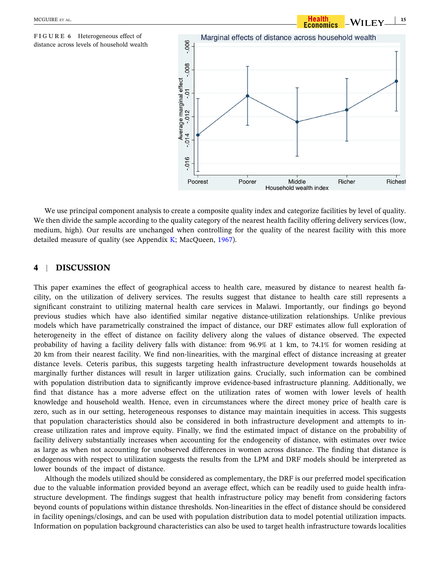

We use principal component analysis to create a composite quality index and categorize facilities by level of quality. We then divide the sample according to the quality category of the nearest health facility offering delivery services (low, medium, high). Our results are unchanged when controlling for the quality of the nearest facility with this more detailed measure of quality (see Appendix  $K$ ; MacQueen, 1967).

# **4** <sup>|</sup> **DISCUSSION**

This paper examines the effect of geographical access to health care, measured by distance to nearest health facility, on the utilization of delivery services. The results suggest that distance to health care still represents a significant constraint to utilizing maternal health care services in Malawi. Importantly, our findings go beyond previous studies which have also identified similar negative distance‐utilization relationships. Unlike previous models which have parametrically constrained the impact of distance, our DRF estimates allow full exploration of heterogeneity in the effect of distance on facility delivery along the values of distance observed. The expected probability of having a facility delivery falls with distance: from 96.9% at 1 km, to 74.1% for women residing at 20 km from their nearest facility. We find non‐linearities, with the marginal effect of distance increasing at greater distance levels. Ceteris paribus, this suggests targeting health infrastructure development towards households at marginally further distances will result in larger utilization gains. Crucially, such information can be combined with population distribution data to significantly improve evidence-based infrastructure planning. Additionally, we find that distance has a more adverse effect on the utilization rates of women with lower levels of health knowledge and household wealth. Hence, even in circumstances where the direct money price of health care is zero, such as in our setting, heterogeneous responses to distance may maintain inequities in access. This suggests that population characteristics should also be considered in both infrastructure development and attempts to increase utilization rates and improve equity. Finally, we find the estimated impact of distance on the probability of facility delivery substantially increases when accounting for the endogeneity of distance, with estimates over twice as large as when not accounting for unobserved differences in women across distance. The finding that distance is endogenous with respect to utilization suggests the results from the LPM and DRF models should be interpreted as lower bounds of the impact of distance.

Although the models utilized should be considered as complementary, the DRF is our preferred model specification due to the valuable information provided beyond an average effect, which can be readily used to guide health infrastructure development. The findings suggest that health infrastructure policy may benefit from considering factors beyond counts of populations within distance thresholds. Non‐linearities in the effect of distance should be considered in facility openings/closings, and can be used with population distribution data to model potential utilization impacts. Information on population background characteristics can also be used to target health infrastructure towards localities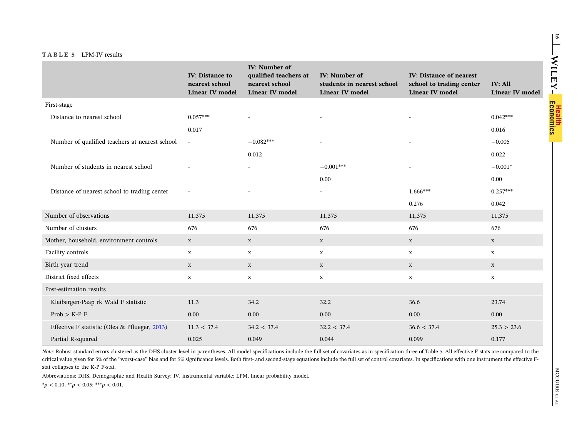## **TABLE <sup>5</sup>** LPM‐IV results

|                                                | <b>IV: Distance to</b><br>nearest school | <b>IV:</b> Number of<br>qualified teachers at<br>nearest school | <b>IV:</b> Number of<br>students in nearest school | <b>IV: Distance of nearest</b><br>school to trading center | <b>IV: All</b>         |
|------------------------------------------------|------------------------------------------|-----------------------------------------------------------------|----------------------------------------------------|------------------------------------------------------------|------------------------|
|                                                | <b>Linear IV model</b>                   | <b>Linear IV model</b>                                          | <b>Linear IV model</b>                             | <b>Linear IV model</b>                                     | <b>Linear IV model</b> |
| First-stage                                    |                                          |                                                                 |                                                    |                                                            |                        |
| Distance to nearest school                     | $0.057***$                               |                                                                 | $\overline{\phantom{a}}$                           |                                                            | $0.042***$             |
|                                                | 0.017                                    |                                                                 |                                                    |                                                            | 0.016                  |
| Number of qualified teachers at nearest school | $\sim$                                   | $-0.082***$                                                     |                                                    |                                                            | $-0.005$               |
|                                                |                                          | 0.012                                                           |                                                    |                                                            | 0.022                  |
| Number of students in nearest school           |                                          | $\sim$                                                          | $-0.001***$                                        |                                                            | $-0.001*$              |
|                                                |                                          |                                                                 | 0.00                                               |                                                            | 0.00                   |
| Distance of nearest school to trading center   |                                          | $\blacksquare$                                                  | $\overline{\phantom{a}}$                           | $1.666***$                                                 | $0.257***$             |
|                                                |                                          |                                                                 |                                                    | 0.276                                                      | 0.042                  |
| Number of observations                         | 11,375                                   | 11,375                                                          | 11,375                                             | 11,375                                                     | 11,375                 |
| Number of clusters                             | 676                                      | 676                                                             | 676                                                | 676                                                        | 676                    |
| Mother, household, environment controls        | $\mathbf X$                              | $\mathbf X$                                                     | $\mathbf X$                                        | $\mathbf X$                                                | $\mathbf X$            |
| Facility controls                              | $\mathbf X$                              | $\mathbf X$                                                     | $\mathbf X$                                        | $\mathbf X$                                                | $\mathbf x$            |
| Birth year trend                               | $\mathbf X$                              | $\mathbf X$                                                     | $\mathbf X$                                        | $\mathbf X$                                                | $\mathbf X$            |
| District fixed effects                         | $\mathbf x$                              | $\mathbf x$                                                     | $\mathbf x$                                        | $\mathbf X$                                                | $\mathbf X$            |
| Post-estimation results                        |                                          |                                                                 |                                                    |                                                            |                        |
| Kleibergen-Paap rk Wald F statistic            | 11.3                                     | 34.2                                                            | 32.2                                               | 36.6                                                       | 23.74                  |
| $Prob > K-P$ F                                 | 0.00                                     | 0.00                                                            | 0.00                                               | 0.00                                                       | 0.00                   |
| Effective F statistic (Olea & Pflueger, 2013)  | 11.3 < 37.4                              | 34.2 < 37.4                                                     | 32.2 < 37.4                                        | 36.6 < 37.4                                                | 25.3 > 23.6            |
| Partial R-squared                              | 0.025                                    | 0.049                                                           | 0.044                                              | 0.099                                                      | 0.177                  |

Note: Robust standard errors clustered as the DHS cluster level in parentheses. All model specifications include the full set of covariates as in specification three of Table 5. All effective F-stats are compared to the critical value given for 5% of the "worst-case" bias and for 5% significance levels. Both first- and second-stage equations include the full set of control covariates. In specifications with one instrument the effective F‐ stat collapses to the K‐P F‐stat.

Abbreviations: DHS, Demographic and Health Survey; IV, instrumental variable; LPM, linear probability model.

\**p* <sup>&</sup>lt; 0.10; \*\**<sup>p</sup>* <sup>&</sup>lt; 0.05; \*\*\**<sup>p</sup>* <sup>&</sup>lt; 0.01.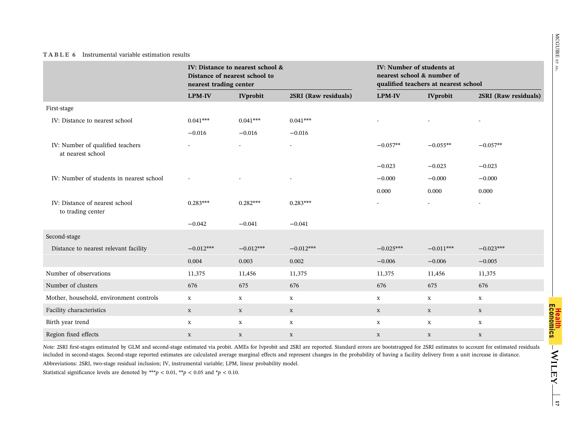|                                                       |               | IV: Distance to nearest school &<br>Distance of nearest school to<br>nearest trading center |                      |                          | IV: Number of students at<br>nearest school & number of<br>qualified teachers at nearest school |                          |  |
|-------------------------------------------------------|---------------|---------------------------------------------------------------------------------------------|----------------------|--------------------------|-------------------------------------------------------------------------------------------------|--------------------------|--|
|                                                       | <b>LPM-IV</b> | <b>IVprobit</b>                                                                             | 2SRI (Raw residuals) | <b>LPM-IV</b>            | <b>IVprobit</b>                                                                                 | 2SRI (Raw residuals)     |  |
| First-stage                                           |               |                                                                                             |                      |                          |                                                                                                 |                          |  |
| IV: Distance to nearest school                        | $0.041***$    | $0.041***$                                                                                  | $0.041***$           |                          |                                                                                                 |                          |  |
|                                                       | $-0.016$      | $-0.016$                                                                                    | $-0.016$             |                          |                                                                                                 |                          |  |
| IV: Number of qualified teachers<br>at nearest school |               | $\overline{a}$                                                                              | $\overline{a}$       | $-0.057**$               | $-0.055**$                                                                                      | $-0.057**$               |  |
|                                                       |               |                                                                                             |                      | $-0.023$                 | $-0.023$                                                                                        | $-0.023$                 |  |
| IV: Number of students in nearest school              |               |                                                                                             |                      | $-0.000$                 | $-0.000$                                                                                        | $-0.000$                 |  |
|                                                       |               |                                                                                             |                      | 0.000                    | 0.000                                                                                           | 0.000                    |  |
| IV: Distance of nearest school<br>to trading center   | $0.283***$    | $0.282***$                                                                                  | $0.283***$           | $\overline{\phantom{0}}$ |                                                                                                 | $\overline{\phantom{0}}$ |  |
|                                                       | $-0.042$      | $-0.041$                                                                                    | $-0.041$             |                          |                                                                                                 |                          |  |
| Second-stage                                          |               |                                                                                             |                      |                          |                                                                                                 |                          |  |
| Distance to nearest relevant facility                 | $-0.012***$   | $-0.012***$                                                                                 | $-0.012***$          | $-0.025***$              | $-0.011***$                                                                                     | $-0.023***$              |  |
|                                                       | 0.004         | 0.003                                                                                       | 0.002                | $-0.006$                 | $-0.006$                                                                                        | $-0.005$                 |  |
| Number of observations                                | 11,375        | 11,456                                                                                      | 11,375               | 11,375                   | 11,456                                                                                          | 11,375                   |  |
| Number of clusters                                    | 676           | 675                                                                                         | 676                  | 676                      | 675                                                                                             | 676                      |  |
| Mother, household, environment controls               | $\mathbf X$   | $\mathbf{X}$                                                                                | $\mathbf X$          | $\mathbf x$              | X                                                                                               | X                        |  |
| Facility characteristics                              | $\mathbf X$   | $\mathbf X$                                                                                 | $\mathbf{X}$         | $\mathbf X$              | $\mathbf X$                                                                                     | $\mathbf X$              |  |
| Birth year trend                                      | X             | $\mathbf{x}$                                                                                | $\mathbf x$          | $\mathbf x$              | $\mathbf X$                                                                                     | $\mathbf X$              |  |
| Region fixed effects                                  | $\mathbf X$   | $\mathbf X$                                                                                 | $\mathbf X$          | $\mathbf X$              | $\mathbf X$                                                                                     | $\mathbf X$              |  |

*Note:* 2SRI first‐stages estimated by GLM and second‐stage estimated via probit. AMEs for Ivprobit and 2SRI are reported. Standard errors are bootstrapped for 2SRI estimates to account for estimated residuals included in second‐stages. Second‐stage reported estimates are calculated average marginal effects and represent changes in the probability of having <sup>a</sup> facility delivery from <sup>a</sup> unit increase in distance. Abbreviations: 2SRI, two-stage residual inclusion; IV, instrumental variable; LPM, linear probability model.

Statistical significance levels are denoted by  $***p$  < 0.01,  $**p$  < 0.05 and  $*p$  < 0.10.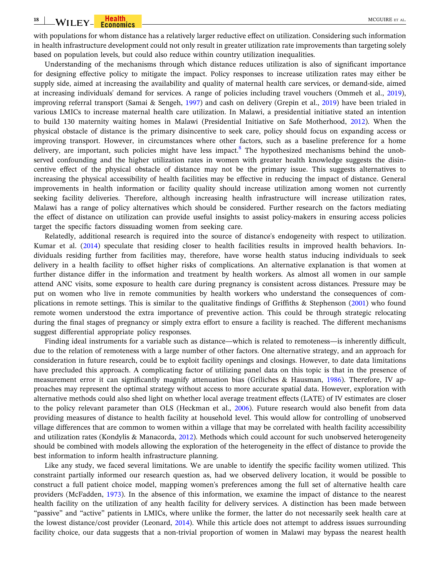with populations for whom distance has a relatively larger reductive effect on utilization. Considering such information in health infrastructure development could not only result in greater utilization rate improvements than targeting solely based on population levels, but could also reduce within country utilization inequalities.

Understanding of the mechanisms through which distance reduces utilization is also of significant importance for designing effective policy to mitigate the impact. Policy responses to increase utilization rates may either be supply side, aimed at increasing the availability and quality of maternal health care services, or demand-side, aimed at increasing individuals' demand for services. A range of policies including travel vouchers (Ommeh et al., 2019), improving referral transport (Samai & Sengeh, 1997) and cash on delivery (Grepin et al., 2019) have been trialed in various LMICs to increase maternal health care utilization. In Malawi, a presidential initiative stated an intention to build 130 maternity waiting homes in Malawi (Presidential Initiative on Safe Motherhood, 2012). When the physical obstacle of distance is the primary disincentive to seek care, policy should focus on expanding access or improving transport. However, in circumstances where other factors, such as a baseline preference for a home delivery, are important, such policies might have less impact.<sup>8</sup> The hypothesized mechanisms behind the unobserved confounding and the higher utilization rates in women with greater health knowledge suggests the disincentive effect of the physical obstacle of distance may not be the primary issue. This suggests alternatives to increasing the physical accessibility of health facilities may be effective in reducing the impact of distance. General improvements in health information or facility quality should increase utilization among women not currently seeking facility deliveries. Therefore, although increasing health infrastructure will increase utilization rates, Malawi has a range of policy alternatives which should be considered. Further research on the factors mediating the effect of distance on utilization can provide useful insights to assist policy–makers in ensuring access policies target the specific factors dissuading women from seeking care.

Relatedly, additional research is required into the source of distance's endogeneity with respect to utilization. Kumar et al. (2014) speculate that residing closer to health facilities results in improved health behaviors. Individuals residing further from facilities may, therefore, have worse health status inducing individuals to seek delivery in a health facility to offset higher risks of complications. An alternative explanation is that women at further distance differ in the information and treatment by health workers. As almost all women in our sample attend ANC visits, some exposure to health care during pregnancy is consistent across distances. Pressure may be put on women who live in remote communities by health workers who understand the consequences of complications in remote settings. This is similar to the qualitative findings of Griffiths & Stephenson (2001) who found remote women understood the extra importance of preventive action. This could be through strategic relocating during the final stages of pregnancy or simply extra effort to ensure a facility is reached. The different mechanisms suggest differential appropriate policy responses.

Finding ideal instruments for a variable such as distance—which is related to remoteness—is inherently difficult, due to the relation of remoteness with a large number of other factors. One alternative strategy, and an approach for consideration in future research, could be to exploit facility openings and closings. However, to date data limitations have precluded this approach. A complicating factor of utilizing panel data on this topic is that in the presence of measurement error it can significantly magnify attenuation bias (Griliches & Hausman, 1986). Therefore, IV approaches may represent the optimal strategy without access to more accurate spatial data. However, exploration with alternative methods could also shed light on whether local average treatment effects (LATE) of IV estimates are closer to the policy relevant parameter than OLS (Heckman et al., 2006). Future research would also benefit from data providing measures of distance to health facility at household level. This would allow for controlling of unobserved village differences that are common to women within a village that may be correlated with health facility accessibility and utilization rates (Kondylis & Manacorda, 2012). Methods which could account for such unobserved heterogeneity should be combined with models allowing the exploration of the heterogeneity in the effect of distance to provide the best information to inform health infrastructure planning.

Like any study, we faced several limitations. We are unable to identify the specific facility women utilized. This constraint partially informed our research question as, had we observed delivery location, it would be possible to construct a full patient choice model, mapping women's preferences among the full set of alternative health care providers (McFadden, 1973). In the absence of this information, we examine the impact of distance to the nearest health facility on the utilization of any health facility for delivery services. A distinction has been made between "passive" and "active" patients in LMICs, where unlike the former, the latter do not necessarily seek health care at the lowest distance/cost provider (Leonard, 2014). While this article does not attempt to address issues surrounding facility choice, our data suggests that a non-trivial proportion of women in Malawi may bypass the nearest health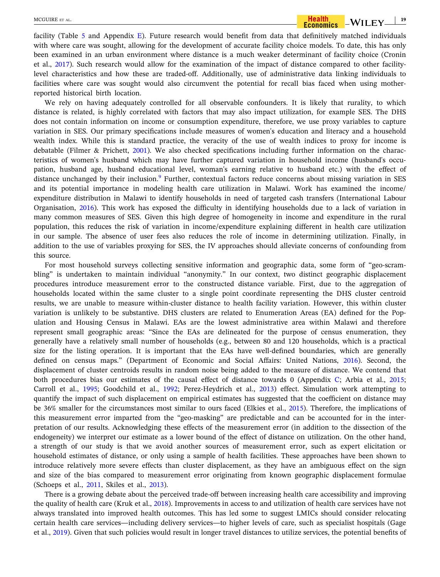facility (Table 5 and Appendix E). Future research would benefit from data that definitively matched individuals with where care was sought, allowing for the development of accurate facility choice models. To date, this has only been examined in an urban environment where distance is a much weaker determinant of facility choice (Cronin et al., 2017). Such research would allow for the examination of the impact of distance compared to other facilitylevel characteristics and how these are traded‐off. Additionally, use of administrative data linking individuals to facilities where care was sought would also circumvent the potential for recall bias faced when using motherreported historical birth location.

We rely on having adequately controlled for all observable confounders. It is likely that rurality, to which distance is related, is highly correlated with factors that may also impact utilization, for example SES. The DHS does not contain information on income or consumption expenditure, therefore, we use proxy variables to capture variation in SES. Our primary specifications include measures of women's education and literacy and a household wealth index. While this is standard practice, the veracity of the use of wealth indices to proxy for income is debatable (Filmer & Prichett, 2001). We also checked specifications including further information on the characteristics of women's husband which may have further captured variation in household income (husband's occupation, husband age, husband educational level, woman's earning relative to husband etc.) with the effect of distance unchanged by their inclusion.<sup>9</sup> Further, contextual factors reduce concerns about missing variation in SES and its potential importance in modeling health care utilization in Malawi. Work has examined the income/ expenditure distribution in Malawi to identify households in need of targeted cash transfers (International Labour Organisation, 2016). This work has exposed the difficulty in identifying households due to a lack of variation in many common measures of SES. Given this high degree of homogeneity in income and expenditure in the rural population, this reduces the risk of variation in income/expenditure explaining different in health care utilization in our sample. The absence of user fees also reduces the role of income in determining utilization. Finally, in addition to the use of variables proxying for SES, the IV approaches should alleviate concerns of confounding from this source.

For most household surveys collecting sensitive information and geographic data, some form of "geo-scrambling" is undertaken to maintain individual "anonymity." In our context, two distinct geographic displacement procedures introduce measurement error to the constructed distance variable. First, due to the aggregation of households located within the same cluster to a single point coordinate representing the DHS cluster centroid results, we are unable to measure within‐cluster distance to health facility variation. However, this within cluster variation is unlikely to be substantive. DHS clusters are related to Enumeration Areas (EA) defined for the Population and Housing Census in Malawi. EAs are the lowest administrative area within Malawi and therefore represent small geographic areas: "Since the EAs are delineated for the purpose of census enumeration, they generally have a relatively small number of households (e.g., between 80 and 120 households, which is a practical size for the listing operation. It is important that the EAs have well-defined boundaries, which are generally defined on census maps." (Department of Economic and Social Affairs: United Nations, 2016). Second, the displacement of cluster centroids results in random noise being added to the measure of distance. We contend that both procedures bias our estimates of the causal effect of distance towards 0 (Appendix C; Arbia et al., 2015; Carroll et al., 1995; Goodchild et al., 1992; Perez-Heydrich et al., 2013) effect. Simulation work attempting to quantify the impact of such displacement on empirical estimates has suggested that the coefficient on distance may be 36% smaller for the circumstances most similar to ours faced (Elkies et al., 2015). Therefore, the implications of this measurement error imparted from the "geo-masking" are predictable and can be accounted for in the interpretation of our results. Acknowledging these effects of the measurement error (in addition to the dissection of the endogeneity) we interpret our estimate as a lower bound of the effect of distance on utilization. On the other hand, a strength of our study is that we avoid another sources of measurement error, such as expert elicitation or household estimates of distance, or only using a sample of health facilities. These approaches have been shown to introduce relatively more severe effects than cluster displacement, as they have an ambiguous effect on the sign and size of the bias compared to measurement error originating from known geographic displacement formulae (Schoeps et al., 2011, Skiles et al., 2013).

There is a growing debate about the perceived trade‐off between increasing health care accessibility and improving the quality of health care (Kruk et al., 2018). Improvements in access to and utilization of health care services have not always translated into improved health outcomes. This has led some to suggest LMICs should consider relocating certain health care services—including delivery services—to higher levels of care, such as specialist hospitals (Gage et al., 2019). Given that such policies would result in longer travel distances to utilize services, the potential benefits of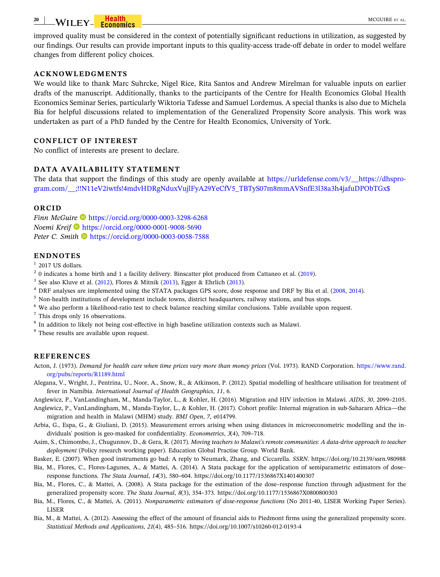#### **20** WILEY Feodomics Communication of the MCGUIRE ET AL.

improved quality must be considered in the context of potentially significant reductions in utilization, as suggested by our findings. Our results can provide important inputs to this quality‐access trade‐off debate in order to model welfare changes from different policy choices.

## **ACKNOWLEDGMENTS**

We would like to thank Marc Suhrcke, Nigel Rice, Rita Santos and Andrew Mirelman for valuable inputs on earlier drafts of the manuscript. Additionally, thanks to the participants of the Centre for Health Economics Global Health Economics Seminar Series, particularly Wiktoria Tafesse and Samuel Lordemus. A special thanks is also due to Michela Bia for helpful discussions related to implementation of the Generalized Propensity Score analysis. This work was undertaken as part of a PhD funded by the Centre for Health Economics, University of York.

#### **CONFLICT OF INTEREST**

No conflict of interests are present to declare.

## **DATA AVAILABILITY STATEMENT**

The data that support the findings of this study are openly available at https://urldefense.com/v3/\_\_https://dhsprogram.com/\_\_;!!N11eV2iwtfs!4mdvHDRgNduxVujlFyA29YeCfV5\_TBTyS07m8mmAVSnfE3l38a3h4jafuDPObTGx\$

#### **ORCID**

*Finn McGuire* • https://orcid.org/0000-0003-3298-6268 *Noemi Kreif* https://orcid.org/0000-0001-9008-5690 Peter C. Smith <sup>1</sup> https://orcid.org/0000-0003-0058-7588

#### **ENDNOTES**

 $1$  2017 US dollars.

- $2$  0 indicates a home birth and 1 a facility delivery. Binscatter plot produced from Cattaneo et al. (2019).
- $3$  See also Kluve et al. (2012), Flores & Mitnik (2013), Egger & Ehrlich (2013).
- <sup>4</sup> DRF analyses are implemented using the STATA packages GPS score, dose response and DRF by Bia et al. (2008, 2014).
- <sup>5</sup> Non-health institutions of development include towns, district headquarters, railway stations, and bus stops.
- <sup>6</sup> We also perform a likelihood-ratio test to check balance reaching similar conclusions. Table available upon request.
- <sup>7</sup> This drops only 16 observations.
- <sup>8</sup> In addition to likely not being cost-effective in high baseline utilization contexts such as Malawi.

<sup>9</sup> These results are available upon request.

#### **REFERENCES**

Acton, J. (1973). *Demand for health care when time prices vary more than money prices* (Vol. 1973). RAND Corporation. https://www.rand. org/pubs/reports/R1189.html

- Alegana, V., Wright, J., Pentrina, U., Noor, A., Snow, R., & Atkinson, P. (2012). Spatial modelling of healthcare utilisation for treatment of fever in Namibia. *International Journal of Health Geographics*, *11*, 6.
- Anglewicz, P., VanLandingham, M., Manda‐Taylor, L., & Kohler, H. (2016). Migration and HIV infection in Malawi. *AIDS*, *30*, 2099–2105.
- Anglewicz, P., VanLandingham, M., Manda‐Taylor, L., & Kohler, H. (2017). Cohort profile: Internal migration in sub‐Sahararn Africa—the migration and health in Malawi (MHM) study. *BMJ Open*, *7*, e014799.
- Arbia, G., Espa, G., & Giuliani, D. (2015). Measurement errors arising when using distances in microeconometric modelling and the individuals' position is geo‐masked for confidentiality. *Econometrics*, *3*(4), 709–718.
- Asim, S., Chimombo, J., Chugunnov, D., & Gera, R. (2017). *Moving teachers to Malawi's remote communities: A data‐drive approach to teacher deployment* (Policy research working paper). Education Global Practise Group. World Bank.
- Basker, E. (2007). When good instruments go bad: A reply to Neumark, Zhang, and Ciccarella. *SSRN*. https://doi.org/10.2139/ssrn.980988
- Bia, M., Flores, C., Flores‐Lagunes, A., & Mattei, A. (2014). A Stata package for the application of semiparametric estimators of dose– response functions. *The Stata Journal*, *14*(3), 580–604. https://doi.org/10.1177/1536867X1401400307
- Bia, M., Flores, C., & Mattei, A. (2008). A Stata package for the estimation of the dose–response function through adjustment for the generalized propensity score. *The Stata Journal*, *8*(3), 354–373. https://doi.org/10.1177/1536867X0800800303
- Bia, M., Flores, C., & Mattei, A. (2011). *Nonparametric estimators of dose‐response functions* (No 2011‐40, LISER Working Paper Series). LISER
- Bia, M., & Mattei, A. (2012). Assessing the effect of the amount of financial aids to Piedmont firms using the generalized propensity score. *Statistical Methods and Applications*, *21*(4), 485–516. https://doi.org/10.1007/s10260‐012‐0193‐4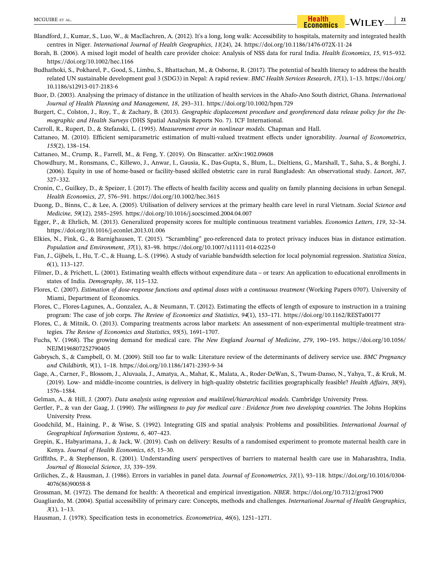- Blandford, J., Kumar, S., Luo, W., & MacEachren, A. (2012). It's a long, long walk: Accessibility to hospitals, maternity and integrated health centres in Niger. *International Journal of Health Geographics*, *11*(24), 24. https://doi.org/10.1186/1476‐072X‐11‐24
- Borah, B. (2006). A mixed logit model of health care provider choice: Analysis of NSS data for rural India. *Health Economics*, *15*, 915–932. https://doi.org/10.1002/hec.1166
- Budhathoki, S., Pokharel, P., Good, S., Limbu, S., Bhattachan, M., & Osborne, R. (2017). The potential of health literacy to address the health related UN sustainable development goal 3 (SDG3) in Nepal: A rapid review. *BMC Health Services Research*, *17*(1), 1–13. https://doi.org/ 10.1186/s12913‐017‐2183‐6
- Buor, D. (2003). Analysing the primacy of distance in the utilization of health services in the Ahafo‐Ano South district, Ghana. *International Journal of Health Planning and Management*, *18*, 293–311. https://doi.org/10.1002/hpm.729
- Burgert, C., Colston, J., Roy, T., & Zachary, B. (2013). *Geographic displacement procedure and georeferenced data release policy for the Demographic and Health Surveys* (DHS Spatial Analysis Reports No. 7). ICF International.
- Carroll, R., Rupert, D., & Stefanski, L. (1995). *Measurement error in nonlinear models*. Chapman and Hall.
- Cattaneo, M. (2010). Efficient semiparametric estimation of multi‐valued treatment effects under ignorability. *Journal of Econometrics*, *155*(2), 138–154.
- Cattaneo, M., Crump, R., Farrell, M., & Feng, Y. (2019). On Binscatter. arXiv:1902.09608
- Chowdhury, M., Ronsmans, C., Killewo, J., Anwar, I., Gausia, K., Das‐Gupta, S., Blum, L., Dieltiens, G., Marshall, T., Saha, S., & Borghi, J. (2006). Equity in use of home‐based or facility‐based skilled obstetric care in rural Bangladesh: An observational study. *Lancet*, *367*, 327–332.
- Cronin, C., Guilkey, D., & Speizer, I. (2017). The effects of health facility access and quality on family planning decisions in urban Senegal. *Health Economics*, *27*, 576–591. https://doi.org/10.1002/hec.3615
- Duong, D., Binns, C., & Lee, A. (2005). Utilisation of delivery services at the primary health care level in rural Vietnam. *Social Science and Medicine*, *59*(12), 2585–2595. https://doi.org/10.1016/j.socscimed.2004.04.007
- Egger, P., & Ehrlich, M. (2013). Generalized propensity scores for multiple continuous treatment variables. *Economics Letters*, *119*, 32–34. https://doi.org/10.1016/j.econlet.2013.01.006
- Elkies, N., Fink, G., & Barnighausen, T. (2015). "Scrambling" geo‐referenced data to protect privacy induces bias in distance estimation. *Population and Environment*, *37*(1), 83–98. https://doi.org/10.1007/s11111‐014‐0225‐0
- Fan, J., Gijbels, I., Hu, T.‐C., & Huang, L.‐S. (1996). A study of variable bandwidth selection for local polynomial regression. *Statistica Sinica*, *6*(1), 113–127.
- Filmer, D., & Prichett, L. (2001). Estimating wealth effects without expenditure data or tears: An application to educational enrollments in states of India. *Demography*, *38*, 115–132.
- Flores, C. (2007). *Estimation of dose‐response functions and optimal doses with a continuous treatment* (Working Papers 0707). University of Miami, Department of Economics.
- Flores, C., Flores-Lagunes, A., Gonzalez, A., & Neumann, T. (2012). Estimating the effects of length of exposure to instruction in a training program: The case of job corps. *The Review of Economics and Statistics*, *94*(1), 153–171. https://doi.org/10.1162/RESTa00177
- Flores, C., & Mitnik, O. (2013). Comparing treatments across labor markets: An assessment of non‐experimental multiple‐treatment strategies. *The Review of Economics and Statistics*, *95*(5), 1691–1707.
- Fuchs, V. (1968). The growing demand for medical care. *The New England Journal of Medicine*, *279*, 190–195. https://doi.org/10.1056/ NEJM196807252790405
- Gabrysch, S., & Campbell, O. M. (2009). Still too far to walk: Literature review of the determinants of delivery service use. *BMC Pregnancy and Childbirth*, *9*(1), 1–18. https://doi.org/10.1186/1471‐2393‐9‐34
- Gage, A., Carner, F., Blossom, J., Aluvaala, J., Amatya, A., Mahat, K., Malata, A., Roder‐DeWan, S., Twum‐Danso, N., Yahya, T., & Kruk, M. (2019). Low‐ and middle‐income countries, is delivery in high‐quality obstetric facilities geographically feasible? *Health Affairs*, *38*(9), 1576–1584.
- Gelman, A., & Hill, J. (2007). *Data analysis using regression and multilevel/hierarchical models*. Cambridge University Press.
- Gertler, P., & van der Gaag, J. (1990). *The willingness to pay for medical care : Evidence from two developing countries*. The Johns Hopkins University Press.
- Goodchild, M., Haining, P., & Wise, S. (1992). Integrating GIS and spatial analysis: Problems and possibilities. *International Journal of Geographical Information Systems*, *6*, 407–423.
- Grepin, K., Habyarimana, J., & Jack, W. (2019). Cash on delivery: Results of a randomised experiment to promote maternal health care in Kenya. *Journal of Health Economics*, *65*, 15–30.
- Griffiths, P., & Stephenson, R. (2001). Understanding users' perspectives of barriers to maternal health care use in Maharashtra, India. *Journal of Biosocial Science*, *33*, 339–359.
- Griliches, Z., & Hausman, J. (1986). Errors in variables in panel data. *Journal of Econometrics*, *31*(1), 93–118. https://doi.org/10.1016/0304‐ 4076(86)90058‐8
- Grossman, M. (1972). The demand for health: A theoretical and empirical investigation. *NBER*. https://doi.org/10.7312/gros17900
- Guagliardo, M. (2004). Spatial accessibility of primary care: Concepts, methods and challenges. *International Journal of Health Geographics*, *3*(1), 1–13.
- Hausman, J. (1978). Specification tests in econometrics. *Econometrica*, *46*(6), 1251–1271.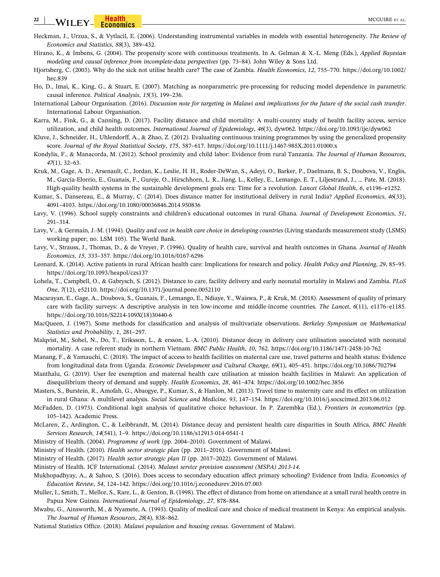- Heckman, J., Urzua, S., & Vytlacil, E. (2006). Understanding instrumental variables in models with essential heterogeneity. *The Review of Economics and Statistics*, *88*(3), 389–432.
- Hirano, K., & Imbens, G. (2004). The propensity score with continuous treatments. In A. Gelman & X.‐L. Meng (Eds.), *Applied Bayesian modeling and causal inference from incomplete‐data perspectives* (pp. 73–84). John Wiley & Sons Ltd.
- Hjortsberg, C. (2003). Why do the sick not utilise health care? The case of Zambia. *Health Economics*, *12*, 755–770. https://doi.org/10.1002/ hec.839
- Ho, D., Imai, K., King, G., & Stuart, E. (2007). Matching as nonparametric pre‐processing for reducing model dependence in parametric causal inference. *Political Analysis*, *15*(3), 199–236.
- International Labour Organisation. (2016). *Discussion note for targeting in Malawi and implications for the future of the social cash transfer*. International Labour Organisation.
- Karra, M., Fink, G., & Canning, D. (2017). Facility distance and child mortality: A multi-country study of health facility access, service utilization, and child health outcomes. *International Journal of Epidemiology*, *46*(3), dyw062. https://doi.org/10.1093/ije/dyw062
- Kluve, J., Schneider, H., Uhlendorff, A., & Zhao, Z. (2012). Evaluating continuous training programmes by using the generalized propensity score. *Journal of the Royal Statistical Society*, *175*, 587–617. https://doi.org/10.1111/j.1467‐985X.2011.01000.x
- Kondylis, F., & Manacorda, M. (2012). School proximity and child labor: Evidence from rural Tanzania. *The Journal of Human Resources*, *47*(1), 32–63.
- Kruk, M., Gage, A. D., Arsenault, C., Jordan, K., Leslie, H. H., Roder‐DeWan, S., Adeyi, O., Barker, P., Daelmans, B. S., Doubova, V., Englis, M., García‐Elorrio, E., Guanais, F., Gureje, O., Hirschhorn, L. R., Jiang, L., Kelley, E., Lemango, E. T., Liljestrand, J., … Pate, M. (2018). High‐quality health systems in the sustainable development goals era: Time for a revolution. *Lancet Global Health*, *6*, e1196–e1252.
- Kumar, S., Dansereau, E., & Murray, C. (2014). Does distance matter for institutional delivery in rural India? *Applied Economics*, *46*(33), 4091–4103. https://doi.org/10.1080/00036846.2014.950836
- Lavy, V. (1996). School supply constraints and children's educational outcomes in rural Ghana. *Journal of Development Economics*, *51*, 291–314.
- Lavy, V., & Germain, J.‐M. (1994). *Quality and cost in health care choice in developing countries* (Living standards measurement study (LSMS) working paper; no. LSM 105). The World Bank.
- Lavy, V., Strauss, J., Thomas, D., & de Vreyer, P. (1996). Quality of health care, survival and health outcomes in Ghana. *Journal of Health Economics*, *15*, 333–357. https://doi.org/10.1016/0167‐6296
- Leonard, K. (2014). Active patients in rural African health care: Implications for research and policy. *Health Policy and Planning*, *29*, 85–95. https://doi.org/10.1093/heapol/czs137
- Lohela, T., Campbell, O., & Gabrysch, S. (2012). Distance to care, facility delivery and early neonatal mortality in Malawi and Zambia. *PLoS One*, *7*(12), e52110. https://doi.org/10.1371/journal.pone.0052110
- Macarayan, E., Gage, A., Doubova, S., Guanais, F., Lemango, E., Ndiaye, Y., Waiswa, P., & Kruk, M. (2018). Assessment of quality of primary care with facility surveys: A descriptive analysis in ten low‐income and middle‐income countries. *The Lancet*, *6*(11), e1176–e1185. https://doi.org/10.1016/S2214‐109X(18)30440‐6
- MacQueen, J. (1967). Some methods for classification and analysis of multivariate observations. *Berkeley Symposium on Mathematical Statistics and Probability*, *1*, 281–297.
- Malqvist, M., Sohel, N., Do, T., Eriksson, L., & ersson, L.‐A. (2010). Distance decay in delivery care utilisation associated with neonatal mortality. A case referent study in northern Vietnam. *BMC Public Health*, *10*, 762. https://doi.org/10.1186/1471‐2458‐10‐762
- Manang, F., & Yamauchi, C. (2018). The impact of access to health facilities on maternal care use, travel patterns and health status: Evidence from longitudinal data from Uganda. *Economic Development and Cultural Change*, *69*(1), 405–451. https://doi.org/10.1086/702794
- Manthalu, G. (2019). User fee exemption and maternal health care utilisation at mission health facilities in Malawi: An application of disequilibrium theory of demand and supply. *Health Economics*, *28*, 461–474. https://doi.org/10.1002/hec.3856
- Masters, S., Burstein, R., Amofah, G., Abaogye, P., Kumar, S., & Hanlon, M. (2013). Travel time to maternity care and its effect on utilization in rural Ghana: A multilevel analysis. *Social Science and Medicine*, *93*, 147–154. https://doi.org/10.1016/j.socscimed.2013.06.012
- McFadden, D. (1973). Conditional logit analysis of qualitative choice behaviour. In P. Zarembka (Ed.), *Frontiers in econometrics* (pp. 105–142). Academic Press.
- McLaren, Z., Ardington, C., & Leibbrandt, M. (2014). Distance decay and persistent health care disparities in South Africa. *BMC Health Services Research*, *14*(541), 1–9. https://doi.org/10.1186/s12913‐014‐0541‐1
- Ministry of Health. (2004). *Programme of work* (pp. 2004–2010). Government of Malawi.
- Ministry of Health. (2010). *Health sector strategic plan* (pp. 2011–2016). Government of Malawi.
- Ministry of Health. (2017). *Health sector strategic plan II* (pp. 2017–2022). Government of Malawi.
- Ministry of Health. ICF International. (2014). *Malawi service provision assessment (MSPA) 2013‐14*.
- Mukhopadhyay, A., & Sahoo, S. (2016). Does access to secondary education affect primary schooling? Evidence from India. *Economics of Education Review*, *54*, 124–142. https://doi.org/10.1016/j.econedurev.2016.07.003
- Muller, I., Smith, T., Mellor, S., Rare, L., & Genton, B. (1998). The effect of distance from home on attendance at a small rural health centre in Papua New Guinea. *International Journal of Epidemiology*, *27*, 878–884.
- Mwabu, G., Ainsworth, M., & Nyamete, A. (1993). Quality of medical care and choice of medical treatment in Kenya: An empirical analysis. *The Journal of Human Resources*, *28*(4), 838–862.
- National Statistics Office. (2018). *Malawi population and housing census*. Government of Malawi.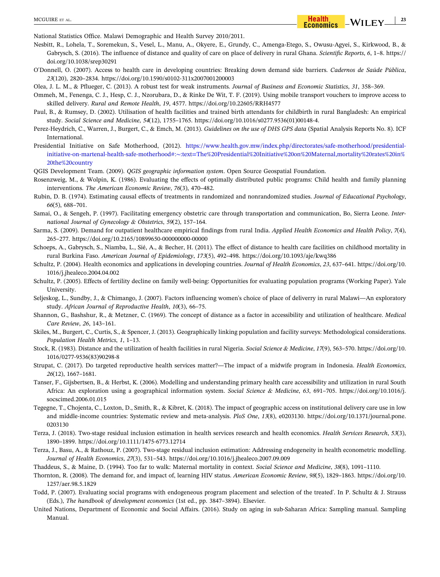National Statistics Office. Malawi Demographic and Health Survey 2010/2011.

Nesbitt, R., Lohela, T., Soremekun, S., Vesel, L., Manu, A., Okyere, E., Grundy, C., Amenga‐Etego, S., Owusu‐Agyei, S., Kirkwood, B., & Gabrysch, S. (2016). The influence of distance and quality of care on place of delivery in rural Ghana. *Scientific Reports*, *6*, 1–8. https:// doi.org/10.1038/srep30291

O'Donnell, O. (2007). Access to health care in developing countries: Breaking down demand side barriers. *Cadernos de Saúde Pública*, *23*(120), 2820–2834. https://doi.org/10.1590/s0102‐311x2007001200003

Olea, J. L. M., & Pflueger, C. (2013). A robust test for weak instruments. *Journal of Business and Economic Statistics*, *31*, 358–369.

Ommeh, M., Fenenga, C. J., Hesp, C. J., Nzorubara, D., & Rinke De Wit, T. F. (2019). Using mobile transport vouchers to improve access to skilled delivery. *Rural and Remote Health*, *19*, 4577. https://doi.org/10.22605/RRH4577

Paul, B., & Rumsey, D. (2002). Utilisation of health facilities and trained birth attendants for childbirth in rural Bangladesh: An empirical study. *Social Science and Medicine*, *54*(12), 1755–1765. https://doi.org/10.1016/s0277.9536(01)00148‐4.

Perez‐Heydrich, C., Warren, J., Burgert, C., & Emch, M. (2013). *Guidelines on the use of DHS GPS data* (Spatial Analysis Reports No. 8). ICF International.

Presidential Initiative on Safe Motherhood, (2012). https://www.health.gov.mw/index.php/directorates/safe-motherhood/presidentialinitiative‐on‐martenal‐health‐safe‐motherhood#:∼:text=The%20Presidential%20Initiative%20on%20Maternal,mortality%20rates%20in% 20the%20country

QGIS Development Team. (2009). *QGIS geographic information system*. Open Source Geospatial Foundation.

Rosenzweig, M., & Wolpin, K. (1986). Evaluating the effects of optimally distributed public programs: Child health and family planning interventions. *The American Economic Review*, *76*(3), 470–482.

Rubin, D. B. (1974). Estimating causal effects of treatments in randomized and nonrandomized studies. *Journal of Educational Psychology*, *66*(5), 688–701.

Samai, O., & Sengeh, P. (1997). Facilitating emergency obstetric care through transportation and communication, Bo, Sierra Leone. *International Journal of Gynecology & Obstetrics*, *59*(2), 157–164.

Sarma, S. (2009). Demand for outpatient healthcare empirical findings from rural India. *Applied Health Economics and Health Policy*, *7*(4), 265–277. https://doi.org/10.2165/10899650‐000000000‐00000

Schoeps, A., Gabrysch, S., Niamba, L., Sié, A., & Becher, H. (2011). The effect of distance to health care facilities on childhood mortality in rural Burkina Faso. *American Journal of Epidemiology*, *173*(5), 492–498. https://doi.org/10.1093/aje/kwq386

Schultz, P. (2004). Health economics and applications in developing countries. *Journal of Health Economics*, *23*, 637–641. https://doi.org/10. 1016/j.jhealeco.2004.04.002

Schultz, P. (2005). Effects of fertility decline on family well‐being: Opportunities for evaluating population programs (Working Paper). Yale University.

Seljeskog, L., Sundby, J., & Chimango, J. (2007). Factors influencing women's choice of place of deliverry in rural Malawi—An exploratory study. *African Journal of Reproductive Health*, *10*(3), 66–75.

Shannon, G., Bashshur, R., & Metzner, C. (1969). The concept of distance as a factor in accessibility and utilization of healthcare. *Medical Care Review*, *26*, 143–161.

Skiles, M., Burgert, C., Curtis, S., & Spencer, J. (2013). Geographically linking population and facility surveys: Methodological considerations. *Population Health Metrics*, *1*, 1–13.

Stock, R. (1983). Distance and the utilization of health facilities in rural Nigeria. *Social Science & Medicine*, *17*(9), 563–570. https://doi.org/10. 1016/0277‐9536(83)90298‐8

Strupat, C. (2017). Do targeted reproductive health services matter?—The impact of a midwife program in Indonesia. *Health Economics*, *26*(12), 1667–1681.

Tanser, F., Gijsbertsen, B., & Herbst, K. (2006). Modelling and understanding primary health care accessibility and utilization in rural South Africa: An exploration using a geographical information system. *Social Science & Medicine*, *63*, 691–705. https://doi.org/10.1016/j. socscimed.2006.01.015

Tegegne, T., Chojenta, C., Loxton, D., Smith, R., & Kibret, K. (2018). The impact of geographic access on institutional delivery care use in low and middle‐income countries: Systematic review and meta‐analysis. *PloS One*, *13*(8), e0203130. https://doi.org/10.1371/journal.pone. 0203130

Terza, J. (2018). Two‐stage residual inclusion estimation in health services research and health economics. *Health Services Research*, *53*(3), 1890–1899. https://doi.org/10.1111/1475‐6773.12714

Terza, J., Basu, A., & Rathouz, P. (2007). Two-stage residual inclusion estimation: Addressing endogeneity in health econometric modelling. *Journal of Health Economics*, *27*(3), 531–543. https://doi.org/10.1016/j.jhealeco.2007.09.009

Thaddeus, S., & Maine, D. (1994). Too far to walk: Maternal mortality in context. *Social Science and Medicine*, *38*(8), 1091–1110.

Thornton, R. (2008). The demand for, and impact of, learning HIV status. *American Economic Review*, *98*(5), 1829–1863. https://doi.org/10. 1257/aer.98.5.1829

Todd, P. (2007). Evaluating social programs with endogeneous program placement and selection of the treated'. In P. Schultz & J. Strauss (Eds.), *The handbook of development economics* (1st ed., pp. 3847–3894). Elsevier.

United Nations, Department of Economic and Social Affairs. (2016). Study on aging in sub‐Saharan Africa: Sampling manual. Sampling Manual.

- **23**

 $-WIL$   $EY$